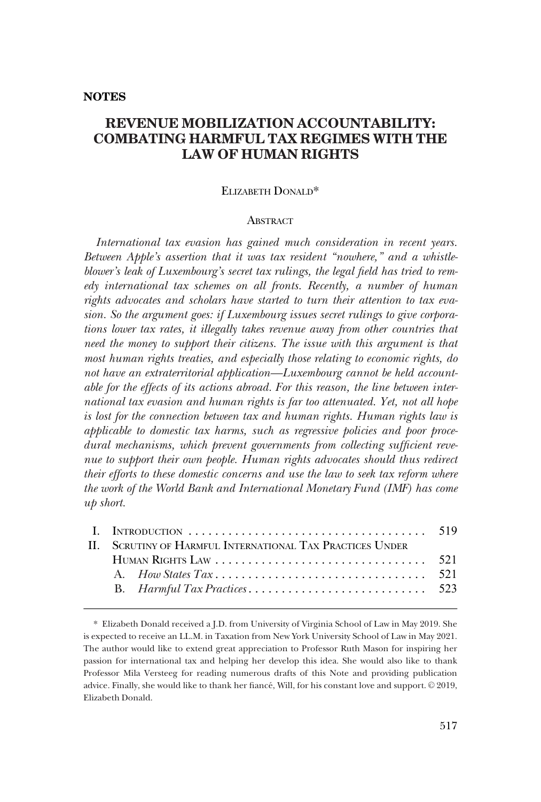# **REVENUE MOBILIZATION ACCOUNTABILITY: COMBATING HARMFUL TAX REGIMES WITH THE LAW OF HUMAN RIGHTS**

# ELIZABETH DONALD\*

## **ABSTRACT**

*International tax evasion has gained much consideration in recent years. Between Apple's assertion that it was tax resident "nowhere," and a whistleblower's leak of Luxembourg's secret tax rulings, the legal field has tried to remedy international tax schemes on all fronts. Recently, a number of human rights advocates and scholars have started to turn their attention to tax evasion. So the argument goes: if Luxembourg issues secret rulings to give corporations lower tax rates, it illegally takes revenue away from other countries that need the money to support their citizens. The issue with this argument is that most human rights treaties, and especially those relating to economic rights, do not have an extraterritorial application—Luxembourg cannot be held accountable for the effects of its actions abroad. For this reason, the line between international tax evasion and human rights is far too attenuated. Yet, not all hope is lost for the connection between tax and human rights. Human rights law is applicable to domestic tax harms, such as regressive policies and poor procedural mechanisms, which prevent governments from collecting sufficient revenue to support their own people. Human rights advocates should thus redirect their efforts to these domestic concerns and use the law to seek tax reform where the work of the World Bank and International Monetary Fund (IMF) has come up short.* 

| II. SCRUTINY OF HARMFUL INTERNATIONAL TAX PRACTICES UNDER |  |  |
|-----------------------------------------------------------|--|--|
|                                                           |  |  |
|                                                           |  |  |
|                                                           |  |  |
|                                                           |  |  |

<sup>\*</sup> Elizabeth Donald received a J.D. from University of Virginia School of Law in May 2019. She is expected to receive an LL.M. in Taxation from New York University School of Law in May 2021. The author would like to extend great appreciation to Professor Ruth Mason for inspiring her passion for international tax and helping her develop this idea. She would also like to thank Professor Mila Versteeg for reading numerous drafts of this Note and providing publication advice. Finally, she would like to thank her fiancé, Will, for his constant love and support. © 2019, Elizabeth Donald.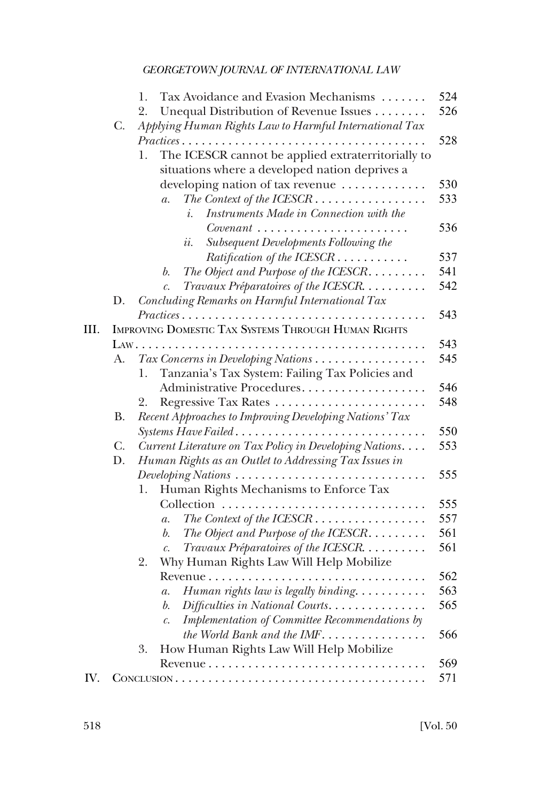|      |                | Tax Avoidance and Evasion Mechanisms<br>1.                                          | 524 |
|------|----------------|-------------------------------------------------------------------------------------|-----|
|      |                | Unequal Distribution of Revenue Issues<br>2.                                        | 526 |
|      | C.             | Applying Human Rights Law to Harmful International Tax                              | 528 |
|      |                | Practices<br>1.                                                                     |     |
|      |                | The ICESCR cannot be applied extraterritorially to                                  |     |
|      |                | situations where a developed nation deprives a                                      |     |
|      |                | developing nation of tax revenue                                                    | 530 |
|      |                | $a$ .<br>Instruments Made in Connection with the<br>i.                              | 533 |
|      |                |                                                                                     | 536 |
|      |                | Subsequent Developments Following the<br><i>ii.</i>                                 |     |
|      |                | Ratification of the ICESCR                                                          | 537 |
|      |                | The Object and Purpose of the ICESCR. $\ldots \ldots$<br>b.                         | 541 |
|      |                | Travaux Préparatoires of the ICESCR<br>$\mathcal{C}$ .                              | 542 |
|      | D.             | Concluding Remarks on Harmful International Tax                                     |     |
|      |                |                                                                                     | 543 |
| III. |                | IMPROVING DOMESTIC TAX SYSTEMS THROUGH HUMAN RIGHTS                                 |     |
|      |                |                                                                                     | 543 |
|      | A.             | Tax Concerns in Developing Nations                                                  | 545 |
|      |                | Tanzania's Tax System: Failing Tax Policies and<br>1.                               |     |
|      |                | Administrative Procedures                                                           | 546 |
|      |                | 2.                                                                                  | 548 |
|      | <b>B.</b>      |                                                                                     |     |
|      |                | Recent Approaches to Improving Developing Nations' Tax                              | 550 |
|      |                | Systems Have Failed                                                                 |     |
|      | $\mathbf{C}$ . | Current Literature on Tax Policy in Developing Nations.                             | 553 |
|      | D.             | Human Rights as an Outlet to Addressing Tax Issues in                               |     |
|      |                | Developing Nations $\ldots \ldots \ldots \ldots \ldots \ldots \ldots \ldots \ldots$ | 555 |
|      |                | Human Rights Mechanisms to Enforce Tax<br>1.                                        |     |
|      |                |                                                                                     | 555 |
|      |                | $a$ .                                                                               | 557 |
|      |                | The Object and Purpose of the ICESCR<br>b.                                          | 561 |
|      |                | Travaux Préparatoires of the ICESCR<br>$\mathcal{C}$ .                              | 561 |
|      |                | Why Human Rights Law Will Help Mobilize<br>2.                                       |     |
|      |                |                                                                                     | 562 |
|      |                | Human rights law is legally binding<br>а.                                           | 563 |
|      |                | Difficulties in National Courts.<br>b.                                              | 565 |
|      |                | Implementation of Committee Recommendations by<br>$\mathcal{C}.$                    |     |
|      |                | the World Bank and the IMF                                                          | 566 |
|      |                | How Human Rights Law Will Help Mobilize<br>3.                                       |     |
|      |                |                                                                                     | 569 |
| IV.  |                |                                                                                     | 571 |
|      |                |                                                                                     |     |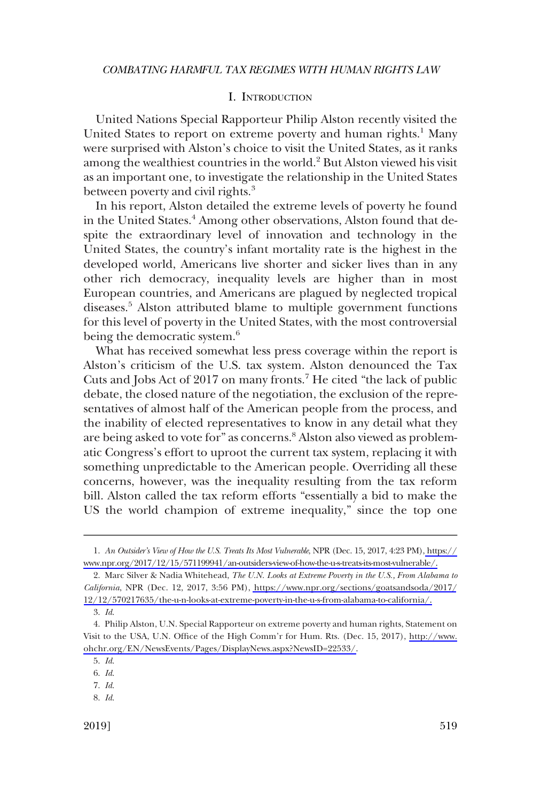# I. INTRODUCTION

<span id="page-2-0"></span>United Nations Special Rapporteur Philip Alston recently visited the United States to report on extreme poverty and human rights.<sup>1</sup> Many were surprised with Alston's choice to visit the United States, as it ranks among the wealthiest countries in the world.<sup>2</sup> But Alston viewed his visit as an important one, to investigate the relationship in the United States between poverty and civil rights.<sup>3</sup>

In his report, Alston detailed the extreme levels of poverty he found in the United States.<sup>4</sup> Among other observations, Alston found that despite the extraordinary level of innovation and technology in the United States, the country's infant mortality rate is the highest in the developed world, Americans live shorter and sicker lives than in any other rich democracy, inequality levels are higher than in most European countries, and Americans are plagued by neglected tropical diseases.<sup>5</sup> Alston attributed blame to multiple government functions for this level of poverty in the United States, with the most controversial being the democratic system.<sup>6</sup>

What has received somewhat less press coverage within the report is Alston's criticism of the U.S. tax system. Alston denounced the Tax Cuts and Jobs Act of 2017 on many fronts.7 He cited "the lack of public debate, the closed nature of the negotiation, the exclusion of the representatives of almost half of the American people from the process, and the inability of elected representatives to know in any detail what they are being asked to vote for" as concerns.<sup>8</sup> Alston also viewed as problematic Congress's effort to uproot the current tax system, replacing it with something unpredictable to the American people. Overriding all these concerns, however, was the inequality resulting from the tax reform bill. Alston called the tax reform efforts "essentially a bid to make the US the world champion of extreme inequality," since the top one

- 7. *Id*.
- 8. *Id*.

*An Outsider's View of How the U.S. Treats Its Most Vulnerable*, NPR (Dec. 15, 2017, 4:23 PM), [https://](https://www.npr.org/2017/12/15/571199941/an-outsiders-view-of-how-the-u-s-treats-its-most-vulnerable/)  1. [www.npr.org/2017/12/15/571199941/an-outsiders-view-of-how-the-u-s-treats-its-most-vulnerable/.](https://www.npr.org/2017/12/15/571199941/an-outsiders-view-of-how-the-u-s-treats-its-most-vulnerable/)

Marc Silver & Nadia Whitehead, *The U.N. Looks at Extreme Poverty in the U.S., From Alabama to*  2. *California*, NPR (Dec. 12, 2017, 3:56 PM), [https://www.npr.org/sections/goatsandsoda/2017/](https://www.npr.org/sections/goatsandsoda/2017/12/12/570217635/the-u-n-looks-at-extreme-poverty-in-the-u-s-from-alabama-to-california/) [12/12/570217635/the-u-n-looks-at-extreme-poverty-in-the-u-s-from-alabama-to-california/.](https://www.npr.org/sections/goatsandsoda/2017/12/12/570217635/the-u-n-looks-at-extreme-poverty-in-the-u-s-from-alabama-to-california/)

<sup>3.</sup> *Id*.

Philip Alston, U.N. Special Rapporteur on extreme poverty and human rights, Statement on 4. Visit to the USA, U.N. Office of the High Comm'r for Hum. Rts. (Dec. 15, 2017), [http://www.](http://www.ohchr.org/EN/NewsEvents/Pages/DisplayNews.aspx?NewsID=22533/)  [ohchr.org/EN/NewsEvents/Pages/DisplayNews.aspx?NewsID=22533/.](http://www.ohchr.org/EN/NewsEvents/Pages/DisplayNews.aspx?NewsID=22533/)

<sup>5.</sup> *Id*.

<sup>6.</sup> *Id*.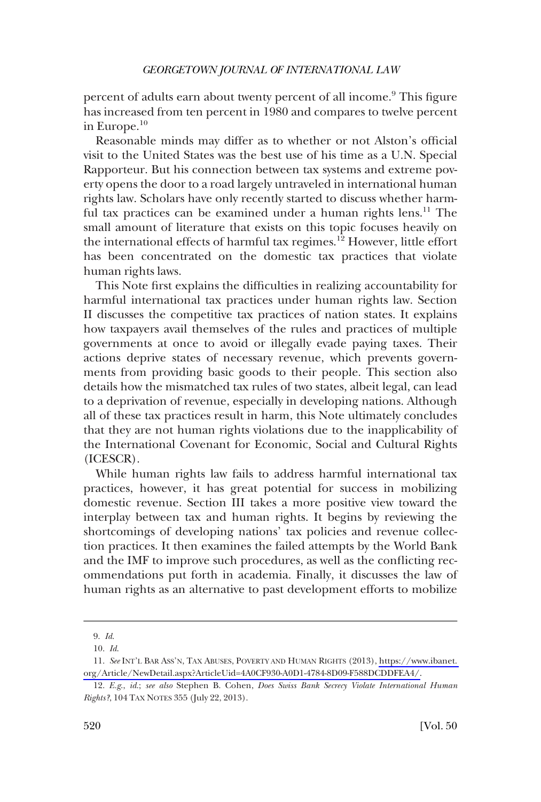percent of adults earn about twenty percent of all income.<sup>9</sup> This figure has increased from ten percent in 1980 and compares to twelve percent in Europe.10

Reasonable minds may differ as to whether or not Alston's official visit to the United States was the best use of his time as a U.N. Special Rapporteur. But his connection between tax systems and extreme poverty opens the door to a road largely untraveled in international human rights law. Scholars have only recently started to discuss whether harmful tax practices can be examined under a human rights lens.<sup>11</sup> The small amount of literature that exists on this topic focuses heavily on the international effects of harmful tax regimes.12 However, little effort has been concentrated on the domestic tax practices that violate human rights laws.

This Note first explains the difficulties in realizing accountability for harmful international tax practices under human rights law. Section II discusses the competitive tax practices of nation states. It explains how taxpayers avail themselves of the rules and practices of multiple governments at once to avoid or illegally evade paying taxes. Their actions deprive states of necessary revenue, which prevents governments from providing basic goods to their people. This section also details how the mismatched tax rules of two states, albeit legal, can lead to a deprivation of revenue, especially in developing nations. Although all of these tax practices result in harm, this Note ultimately concludes that they are not human rights violations due to the inapplicability of the International Covenant for Economic, Social and Cultural Rights (ICESCR).

While human rights law fails to address harmful international tax practices, however, it has great potential for success in mobilizing domestic revenue. Section III takes a more positive view toward the interplay between tax and human rights. It begins by reviewing the shortcomings of developing nations' tax policies and revenue collection practices. It then examines the failed attempts by the World Bank and the IMF to improve such procedures, as well as the conflicting recommendations put forth in academia. Finally, it discusses the law of human rights as an alternative to past development efforts to mobilize

<sup>9.</sup> *Id*.

<sup>10.</sup> *Id*.

*See* INT'L BAR ASS'N, TAX ABUSES, POVERTY AND HUMAN RIGHTS (2013), [https://www.ibanet.](https://www.ibanet.org/Article/NewDetail.aspx?ArticleUid=4A0CF930-A0D1-4784-8D09-F588DCDDFEA4/)  11. [org/Article/NewDetail.aspx?ArticleUid=4A0CF930-A0D1-4784-8D09-F588DCDDFEA4/.](https://www.ibanet.org/Article/NewDetail.aspx?ArticleUid=4A0CF930-A0D1-4784-8D09-F588DCDDFEA4/)

<sup>12.</sup> *E.g*., *id*.; *see also* Stephen B. Cohen, *Does Swiss Bank Secrecy Violate International Human Rights?*, 104 TAX NOTES 355 (July 22, 2013).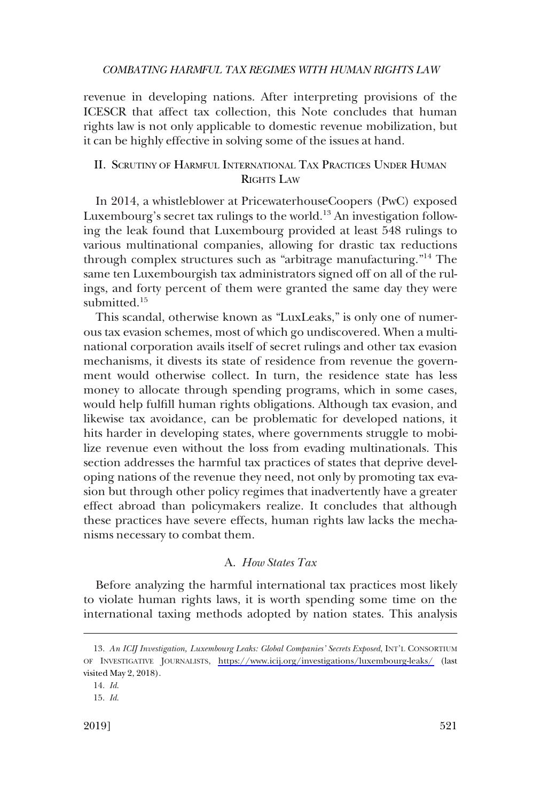<span id="page-4-0"></span>revenue in developing nations. After interpreting provisions of the ICESCR that affect tax collection, this Note concludes that human rights law is not only applicable to domestic revenue mobilization, but it can be highly effective in solving some of the issues at hand.

# II. SCRUTINY OF HARMFUL INTERNATIONAL TAX PRACTICES UNDER HUMAN RIGHTS LAW

In 2014, a whistleblower at PricewaterhouseCoopers (PwC) exposed Luxembourg's secret tax rulings to the world.<sup>13</sup> An investigation following the leak found that Luxembourg provided at least 548 rulings to various multinational companies, allowing for drastic tax reductions through complex structures such as "arbitrage manufacturing."14 The same ten Luxembourgish tax administrators signed off on all of the rulings, and forty percent of them were granted the same day they were submitted $15$ 

This scandal, otherwise known as "LuxLeaks," is only one of numerous tax evasion schemes, most of which go undiscovered. When a multinational corporation avails itself of secret rulings and other tax evasion mechanisms, it divests its state of residence from revenue the government would otherwise collect. In turn, the residence state has less money to allocate through spending programs, which in some cases, would help fulfill human rights obligations. Although tax evasion, and likewise tax avoidance, can be problematic for developed nations, it hits harder in developing states, where governments struggle to mobilize revenue even without the loss from evading multinationals. This section addresses the harmful tax practices of states that deprive developing nations of the revenue they need, not only by promoting tax evasion but through other policy regimes that inadvertently have a greater effect abroad than policymakers realize. It concludes that although these practices have severe effects, human rights law lacks the mechanisms necessary to combat them.

### A. *How States Tax*

Before analyzing the harmful international tax practices most likely to violate human rights laws, it is worth spending some time on the international taxing methods adopted by nation states. This analysis

<sup>13.</sup> An ICIJ Investigation, Luxembourg Leaks: Global Companies' Secrets Exposed, INT'L CONSORTIUM OF INVESTIGATIVE JOURNALISTS, <https://www.icij.org/investigations/luxembourg-leaks/>(last visited May 2, 2018).

<sup>14.</sup> *Id*.

<sup>15.</sup> *Id*.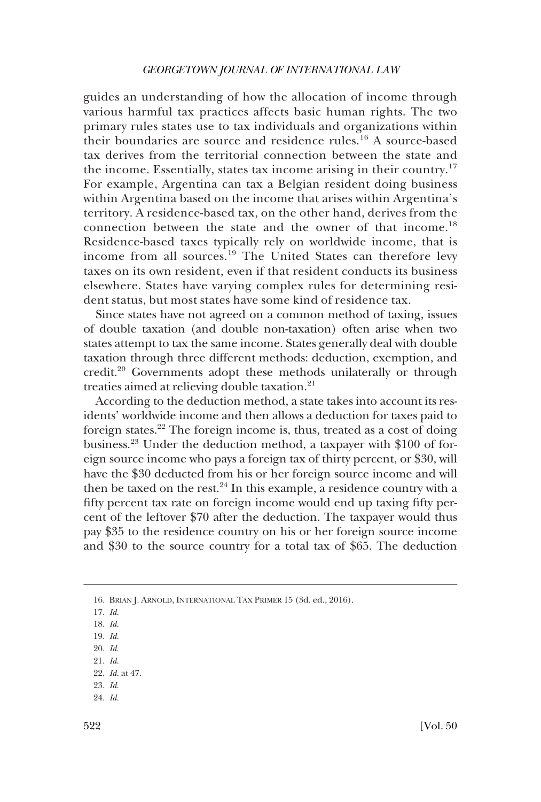guides an understanding of how the allocation of income through various harmful tax practices affects basic human rights. The two primary rules states use to tax individuals and organizations within their boundaries are source and residence rules.16 A source-based tax derives from the territorial connection between the state and the income. Essentially, states tax income arising in their country.<sup>17</sup> For example, Argentina can tax a Belgian resident doing business within Argentina based on the income that arises within Argentina's territory. A residence-based tax, on the other hand, derives from the connection between the state and the owner of that income.<sup>18</sup> Residence-based taxes typically rely on worldwide income, that is income from all sources.19 The United States can therefore levy taxes on its own resident, even if that resident conducts its business elsewhere. States have varying complex rules for determining resident status, but most states have some kind of residence tax.

Since states have not agreed on a common method of taxing, issues of double taxation (and double non-taxation) often arise when two states attempt to tax the same income. States generally deal with double taxation through three different methods: deduction, exemption, and credit.20 Governments adopt these methods unilaterally or through treaties aimed at relieving double taxation.<sup>21</sup>

According to the deduction method, a state takes into account its residents' worldwide income and then allows a deduction for taxes paid to foreign states.22 The foreign income is, thus, treated as a cost of doing business.23 Under the deduction method, a taxpayer with \$100 of foreign source income who pays a foreign tax of thirty percent, or \$30, will have the \$30 deducted from his or her foreign source income and will then be taxed on the rest. $24$  In this example, a residence country with a fifty percent tax rate on foreign income would end up taxing fifty percent of the leftover \$70 after the deduction. The taxpayer would thus pay \$35 to the residence country on his or her foreign source income and \$30 to the source country for a total tax of \$65. The deduction

<sup>16.</sup> BRIAN J. ARNOLD, INTERNATIONAL TAX PRIMER 15 (3d. ed., 2016).

<sup>17.</sup> *Id*.

<sup>18.</sup> *Id*.

<sup>19.</sup> *Id*.

<sup>20.</sup> *Id*.

<sup>21.</sup> *Id*. 22. *Id*. at 47.

<sup>23.</sup> *Id*.

<sup>24.</sup> *Id*.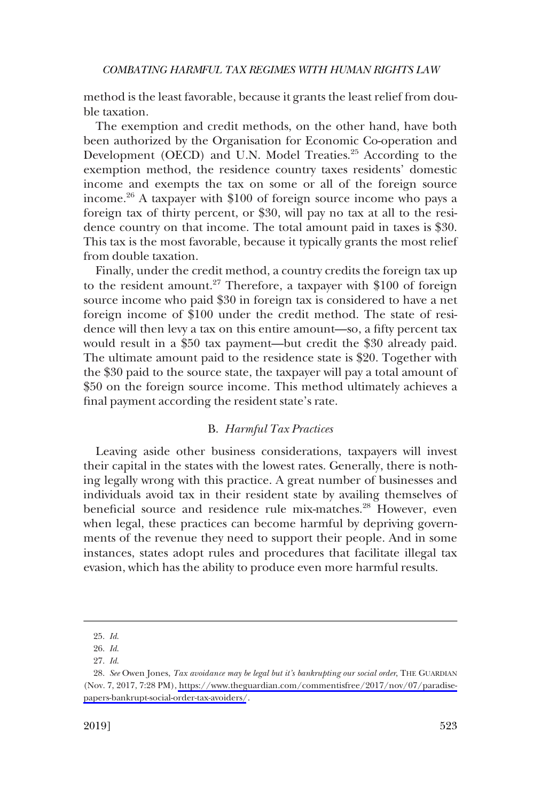<span id="page-6-0"></span>method is the least favorable, because it grants the least relief from double taxation.

The exemption and credit methods, on the other hand, have both been authorized by the Organisation for Economic Co-operation and Development (OECD) and U.N. Model Treaties.<sup>25</sup> According to the exemption method, the residence country taxes residents' domestic income and exempts the tax on some or all of the foreign source income.26 A taxpayer with \$100 of foreign source income who pays a foreign tax of thirty percent, or \$30, will pay no tax at all to the residence country on that income. The total amount paid in taxes is \$30. This tax is the most favorable, because it typically grants the most relief from double taxation.

Finally, under the credit method, a country credits the foreign tax up to the resident amount.<sup>27</sup> Therefore, a taxpayer with \$100 of foreign source income who paid \$30 in foreign tax is considered to have a net foreign income of \$100 under the credit method. The state of residence will then levy a tax on this entire amount—so, a fifty percent tax would result in a \$50 tax payment—but credit the \$30 already paid. The ultimate amount paid to the residence state is \$20. Together with the \$30 paid to the source state, the taxpayer will pay a total amount of \$50 on the foreign source income. This method ultimately achieves a final payment according the resident state's rate.

# B. *Harmful Tax Practices*

Leaving aside other business considerations, taxpayers will invest their capital in the states with the lowest rates. Generally, there is nothing legally wrong with this practice. A great number of businesses and individuals avoid tax in their resident state by availing themselves of beneficial source and residence rule mix-matches.<sup>28</sup> However, even when legal, these practices can become harmful by depriving governments of the revenue they need to support their people. And in some instances, states adopt rules and procedures that facilitate illegal tax evasion, which has the ability to produce even more harmful results.

<sup>25.</sup> *Id*.

<sup>26.</sup> *Id*.

<sup>27.</sup> *Id*.

*See* Owen Jones, *Tax avoidance may be legal but it's bankrupting our social order*, THE GUARDIAN 28. (Nov. 7, 2017, 7:28 PM), [https://www.theguardian.com/commentisfree/2017/nov/07/paradise](https://www.theguardian.com/commentisfree/2017/nov/07/paradise-papers-bankrupt-social-order-tax-avoiders/)[papers-bankrupt-social-order-tax-avoiders/](https://www.theguardian.com/commentisfree/2017/nov/07/paradise-papers-bankrupt-social-order-tax-avoiders/).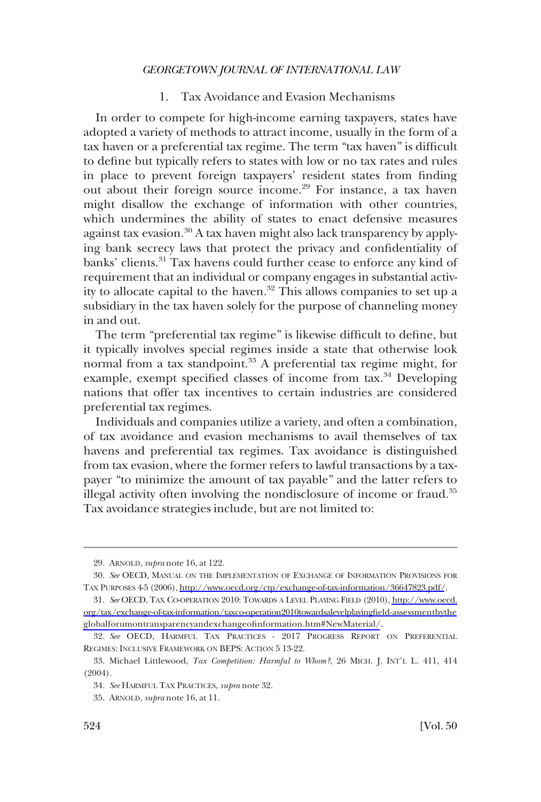# 1. Tax Avoidance and Evasion Mechanisms

<span id="page-7-0"></span>In order to compete for high-income earning taxpayers, states have adopted a variety of methods to attract income, usually in the form of a tax haven or a preferential tax regime. The term "tax haven" is difficult to define but typically refers to states with low or no tax rates and rules in place to prevent foreign taxpayers' resident states from finding out about their foreign source income.<sup>29</sup> For instance, a tax haven might disallow the exchange of information with other countries, which undermines the ability of states to enact defensive measures against tax evasion.<sup>30</sup> A tax haven might also lack transparency by applying bank secrecy laws that protect the privacy and confidentiality of banks' clients.<sup>31</sup> Tax havens could further cease to enforce any kind of requirement that an individual or company engages in substantial activity to allocate capital to the haven.<sup>32</sup> This allows companies to set up a subsidiary in the tax haven solely for the purpose of channeling money in and out.

The term "preferential tax regime" is likewise difficult to define, but it typically involves special regimes inside a state that otherwise look normal from a tax standpoint.<sup>33</sup> A preferential tax regime might, for example, exempt specified classes of income from tax.<sup>34</sup> Developing nations that offer tax incentives to certain industries are considered preferential tax regimes.

Individuals and companies utilize a variety, and often a combination, of tax avoidance and evasion mechanisms to avail themselves of tax havens and preferential tax regimes. Tax avoidance is distinguished from tax evasion, where the former refers to lawful transactions by a taxpayer "to minimize the amount of tax payable" and the latter refers to illegal activity often involving the nondisclosure of income or fraud.35 Tax avoidance strategies include, but are not limited to:

<sup>29.</sup> ARNOLD, *supra* note 16, at 122.

*See* OECD, MANUAL ON THE IMPLEMENTATION OF EXCHANGE OF INFORMATION PROVISIONS FOR 30. TAX PURPOSES 4-5 (2006), [http://www.oecd.org/ctp/exchange-of-tax-information/36647823.pdf/](http://www.oecd.org/ctp/exchange-of-tax-information/36647823.pdf).

*See* OECD, TAX CO-OPERATION 2010: TOWARDS A LEVEL PLAYING FIELD (2010), [http://www.oecd.](http://www.oecd.org/tax/exchange-of-tax-information/taxco-operation2010towardsalevelplayingfield-assessmentbytheglobalforumontransparencyandexchangeofinformation.htm#NewMaterial/)  31. [org/tax/exchange-of-tax-information/taxco-operation2010towardsalevelplayingfield-assessmentbythe](http://www.oecd.org/tax/exchange-of-tax-information/taxco-operation2010towardsalevelplayingfield-assessmentbytheglobalforumontransparencyandexchangeofinformation.htm#NewMaterial/)  [globalforumontransparencyandexchangeofinformation.htm#NewMaterial/](http://www.oecd.org/tax/exchange-of-tax-information/taxco-operation2010towardsalevelplayingfield-assessmentbytheglobalforumontransparencyandexchangeofinformation.htm#NewMaterial/).

<sup>32.</sup> *See* OECD, HARMFUL TAX PRACTICES - 2017 PROGRESS REPORT ON PREFERENTIAL REGIMES: INCLUSIVE FRAMEWORK ON BEPS: ACTION 5 13-22.

<sup>33.</sup> Michael Littlewood, *Tax Competition: Harmful to Whom?*, 26 MICH. J. INT'L L. 411, 414 (2004).

<sup>34.</sup> *See* HARMFUL TAX PRACTICES, *supra* note 32.

<sup>35.</sup> ARNOLD, *supra* note 16, at 11.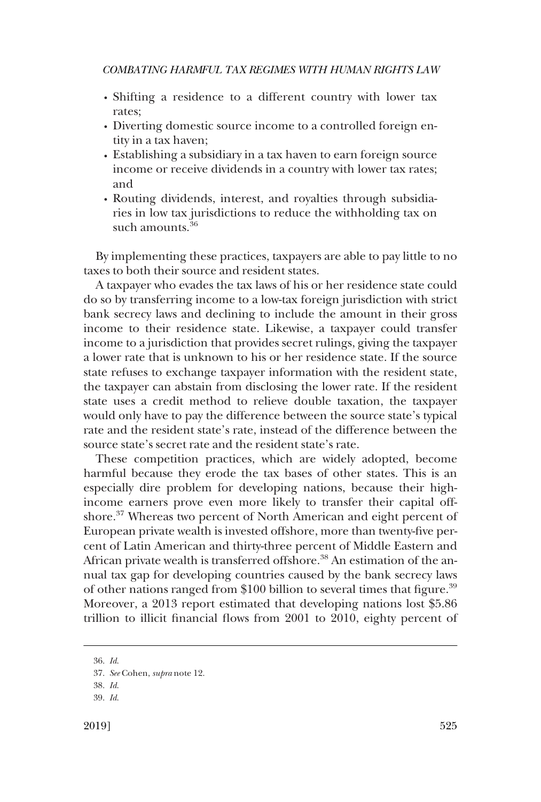- � Shifting a residence to a different country with lower tax rates;
- � Diverting domestic source income to a controlled foreign entity in a tax haven;
- � Establishing a subsidiary in a tax haven to earn foreign source income or receive dividends in a country with lower tax rates; and
- � Routing dividends, interest, and royalties through subsidiaries in low tax jurisdictions to reduce the withholding tax on such amounts.<sup>36</sup>

By implementing these practices, taxpayers are able to pay little to no taxes to both their source and resident states.

A taxpayer who evades the tax laws of his or her residence state could do so by transferring income to a low-tax foreign jurisdiction with strict bank secrecy laws and declining to include the amount in their gross income to their residence state. Likewise, a taxpayer could transfer income to a jurisdiction that provides secret rulings, giving the taxpayer a lower rate that is unknown to his or her residence state. If the source state refuses to exchange taxpayer information with the resident state, the taxpayer can abstain from disclosing the lower rate. If the resident state uses a credit method to relieve double taxation, the taxpayer would only have to pay the difference between the source state's typical rate and the resident state's rate, instead of the difference between the source state's secret rate and the resident state's rate.

These competition practices, which are widely adopted, become harmful because they erode the tax bases of other states. This is an especially dire problem for developing nations, because their highincome earners prove even more likely to transfer their capital offshore.<sup>37</sup> Whereas two percent of North American and eight percent of European private wealth is invested offshore, more than twenty-five percent of Latin American and thirty-three percent of Middle Eastern and African private wealth is transferred offshore.<sup>38</sup> An estimation of the annual tax gap for developing countries caused by the bank secrecy laws of other nations ranged from \$100 billion to several times that figure.39 Moreover, a 2013 report estimated that developing nations lost \$5.86 trillion to illicit financial flows from 2001 to 2010, eighty percent of

<sup>36.</sup> *Id*.

<sup>37.</sup> *See* Cohen, *supra* note 12.

<sup>38.</sup> *Id*.

<sup>39.</sup> *Id*.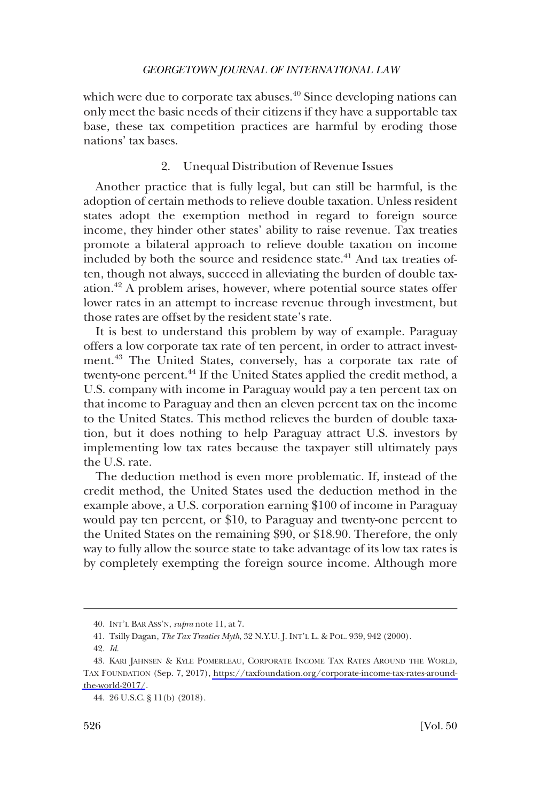<span id="page-9-0"></span>which were due to corporate tax abuses. $40$  Since developing nations can only meet the basic needs of their citizens if they have a supportable tax base, these tax competition practices are harmful by eroding those nations' tax bases.

# 2. Unequal Distribution of Revenue Issues

Another practice that is fully legal, but can still be harmful, is the adoption of certain methods to relieve double taxation. Unless resident states adopt the exemption method in regard to foreign source income, they hinder other states' ability to raise revenue. Tax treaties promote a bilateral approach to relieve double taxation on income included by both the source and residence state.<sup>41</sup> And tax treaties often, though not always, succeed in alleviating the burden of double taxation.42 A problem arises, however, where potential source states offer lower rates in an attempt to increase revenue through investment, but those rates are offset by the resident state's rate.

It is best to understand this problem by way of example. Paraguay offers a low corporate tax rate of ten percent, in order to attract investment.43 The United States, conversely, has a corporate tax rate of twenty-one percent.<sup>44</sup> If the United States applied the credit method, a U.S. company with income in Paraguay would pay a ten percent tax on that income to Paraguay and then an eleven percent tax on the income to the United States. This method relieves the burden of double taxation, but it does nothing to help Paraguay attract U.S. investors by implementing low tax rates because the taxpayer still ultimately pays the U.S. rate.

The deduction method is even more problematic. If, instead of the credit method, the United States used the deduction method in the example above, a U.S. corporation earning \$100 of income in Paraguay would pay ten percent, or \$10, to Paraguay and twenty-one percent to the United States on the remaining \$90, or \$18.90. Therefore, the only way to fully allow the source state to take advantage of its low tax rates is by completely exempting the foreign source income. Although more

<sup>40.</sup> INT'L BAR ASS'N, *supra* note 11, at 7.

<sup>41.</sup> Tsilly Dagan, *The Tax Treaties Myth*, 32 N.Y.U. J. INT'L L. & POL. 939, 942 (2000).

<sup>42.</sup> *Id*.

<sup>43.</sup> KARI JAHNSEN & KYLE POMERLEAU, CORPORATE INCOME TAX RATES AROUND THE WORLD, TAX FOUNDATION (Sep. 7, 2017), [https://taxfoundation.org/corporate-income-tax-rates-around](https://taxfoundation.org/corporate-income-tax-rates-around-the-world-2017/)[the-world-2017/](https://taxfoundation.org/corporate-income-tax-rates-around-the-world-2017/).

<sup>44. 26</sup> U.S.C. § 11(b) (2018).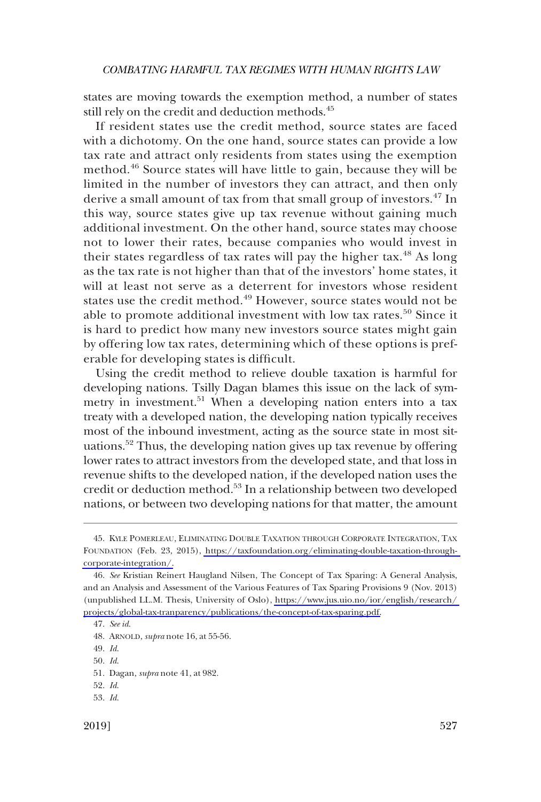states are moving towards the exemption method, a number of states still rely on the credit and deduction methods.<sup>45</sup>

If resident states use the credit method, source states are faced with a dichotomy. On the one hand, source states can provide a low tax rate and attract only residents from states using the exemption method.<sup>46</sup> Source states will have little to gain, because they will be limited in the number of investors they can attract, and then only derive a small amount of tax from that small group of investors.47 In this way, source states give up tax revenue without gaining much additional investment. On the other hand, source states may choose not to lower their rates, because companies who would invest in their states regardless of tax rates will pay the higher tax.<sup>48</sup> As long as the tax rate is not higher than that of the investors' home states, it will at least not serve as a deterrent for investors whose resident states use the credit method.<sup>49</sup> However, source states would not be able to promote additional investment with low tax rates.<sup>50</sup> Since it is hard to predict how many new investors source states might gain by offering low tax rates, determining which of these options is preferable for developing states is difficult.

Using the credit method to relieve double taxation is harmful for developing nations. Tsilly Dagan blames this issue on the lack of symmetry in investment.<sup>51</sup> When a developing nation enters into a tax treaty with a developed nation, the developing nation typically receives most of the inbound investment, acting as the source state in most situations.52 Thus, the developing nation gives up tax revenue by offering lower rates to attract investors from the developed state, and that loss in revenue shifts to the developed nation, if the developed nation uses the credit or deduction method.53 In a relationship between two developed nations, or between two developing nations for that matter, the amount

<sup>45.</sup> KYLE POMERLEAU, ELIMINATING DOUBLE TAXATION THROUGH CORPORATE INTEGRATION, TAX FOUNDATION (Feb. 23, 2015), [https://taxfoundation.org/eliminating-double-taxation-through](https://taxfoundation.org/eliminating-double-taxation-through-corporate-integration/)[corporate-integration/.](https://taxfoundation.org/eliminating-double-taxation-through-corporate-integration/)

*See* Kristian Reinert Haugland Nilsen, The Concept of Tax Sparing: A General Analysis, 46. and an Analysis and Assessment of the Various Features of Tax Sparing Provisions 9 (Nov. 2013) (unpublished LL.M. Thesis, University of Oslo), [https://www.jus.uio.no/ior/english/research/](https://www.jus.uio.no/ior/english/research/projects/global-tax-tranparency/publications/the-concept-of-tax-sparing.pdf)  [projects/global-tax-tranparency/publications/the-concept-of-tax-sparing.pdf.](https://www.jus.uio.no/ior/english/research/projects/global-tax-tranparency/publications/the-concept-of-tax-sparing.pdf)

<sup>47.</sup> *See id*.

<sup>48.</sup> ARNOLD, *supra* note 16, at 55-56.

<sup>49.</sup> *Id*.

<sup>50.</sup> *Id*.

<sup>51.</sup> Dagan, *supra* note 41, at 982.

<sup>52.</sup> *Id*.

<sup>53.</sup> *Id*.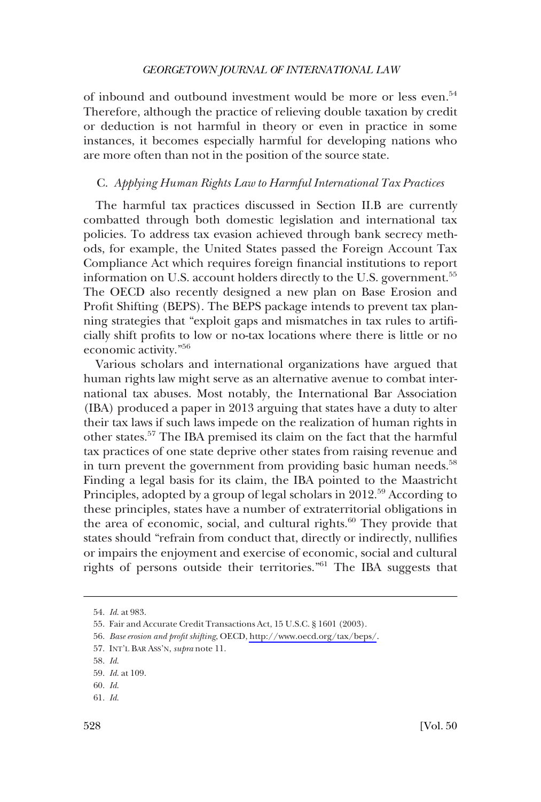<span id="page-11-0"></span>of inbound and outbound investment would be more or less even.<sup>54</sup> Therefore, although the practice of relieving double taxation by credit or deduction is not harmful in theory or even in practice in some instances, it becomes especially harmful for developing nations who are more often than not in the position of the source state.

# C. *Applying Human Rights Law to Harmful International Tax Practices*

The harmful tax practices discussed in Section II.B are currently combatted through both domestic legislation and international tax policies. To address tax evasion achieved through bank secrecy methods, for example, the United States passed the Foreign Account Tax Compliance Act which requires foreign financial institutions to report information on U.S. account holders directly to the U.S. government.<sup>55</sup> The OECD also recently designed a new plan on Base Erosion and Profit Shifting (BEPS). The BEPS package intends to prevent tax planning strategies that "exploit gaps and mismatches in tax rules to artificially shift profits to low or no-tax locations where there is little or no economic activity."<sup>56</sup>

Various scholars and international organizations have argued that human rights law might serve as an alternative avenue to combat international tax abuses. Most notably, the International Bar Association (IBA) produced a paper in 2013 arguing that states have a duty to alter their tax laws if such laws impede on the realization of human rights in other states.57 The IBA premised its claim on the fact that the harmful tax practices of one state deprive other states from raising revenue and in turn prevent the government from providing basic human needs.<sup>58</sup> Finding a legal basis for its claim, the IBA pointed to the Maastricht Principles, adopted by a group of legal scholars in 2012.<sup>59</sup> According to these principles, states have a number of extraterritorial obligations in the area of economic, social, and cultural rights. $60$  They provide that states should "refrain from conduct that, directly or indirectly, nullifies or impairs the enjoyment and exercise of economic, social and cultural rights of persons outside their territories."61 The IBA suggests that

<sup>54.</sup> *Id*. at 983.

<sup>55.</sup> Fair and Accurate Credit Transactions Act, 15 U.S.C. § 1601 (2003).

*Base erosion and profit shifting*, OECD,<http://www.oecd.org/tax/beps/>. 56.

<sup>57.</sup> INT'L BAR ASS'N, *supra* note 11.

<sup>58.</sup> *Id*.

<sup>59.</sup> *Id*. at 109.

<sup>60.</sup> *Id*.

<sup>61.</sup> *Id*.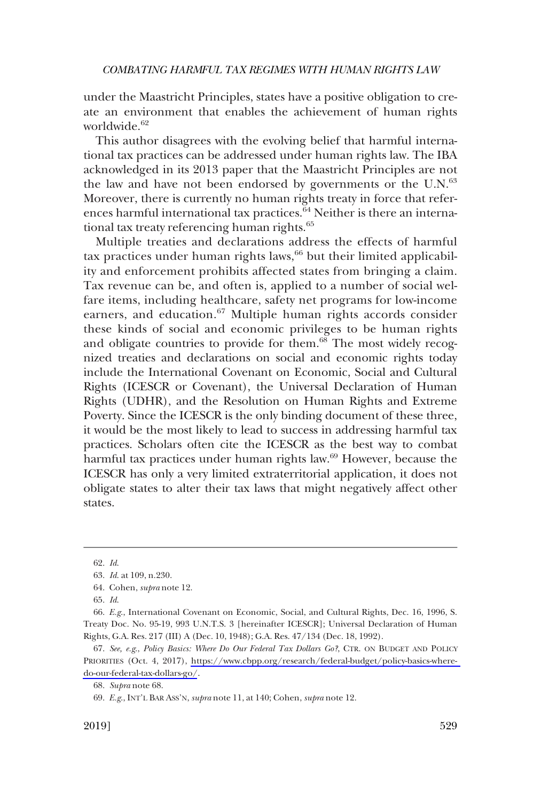under the Maastricht Principles, states have a positive obligation to create an environment that enables the achievement of human rights worldwide.<sup>62</sup>

This author disagrees with the evolving belief that harmful international tax practices can be addressed under human rights law. The IBA acknowledged in its 2013 paper that the Maastricht Principles are not the law and have not been endorsed by governments or the  $U.N.<sup>63</sup>$ Moreover, there is currently no human rights treaty in force that references harmful international tax practices. $\overline{64}$  Neither is there an international tax treaty referencing human rights.<sup>65</sup>

Multiple treaties and declarations address the effects of harmful tax practices under human rights laws,  $66$  but their limited applicability and enforcement prohibits affected states from bringing a claim. Tax revenue can be, and often is, applied to a number of social welfare items, including healthcare, safety net programs for low-income earners, and education.<sup>67</sup> Multiple human rights accords consider these kinds of social and economic privileges to be human rights and obligate countries to provide for them.<sup>68</sup> The most widely recognized treaties and declarations on social and economic rights today include the International Covenant on Economic, Social and Cultural Rights (ICESCR or Covenant), the Universal Declaration of Human Rights (UDHR), and the Resolution on Human Rights and Extreme Poverty. Since the ICESCR is the only binding document of these three, it would be the most likely to lead to success in addressing harmful tax practices. Scholars often cite the ICESCR as the best way to combat harmful tax practices under human rights law.<sup>69</sup> However, because the ICESCR has only a very limited extraterritorial application, it does not obligate states to alter their tax laws that might negatively affect other states.

<sup>62.</sup> *Id*.

<sup>63.</sup> *Id*. at 109, n.230.

<sup>64.</sup> Cohen, *supra* note 12.

<sup>65.</sup> *Id*.

<sup>66.</sup> *E.g*., International Covenant on Economic, Social, and Cultural Rights, Dec. 16, 1996, S. Treaty Doc. No. 95-19, 993 U.N.T.S. 3 [hereinafter ICESCR]; Universal Declaration of Human Rights, G.A. Res. 217 (III) A (Dec. 10, 1948); G.A. Res. 47/134 (Dec. 18, 1992).

*See, e.g*., *Policy Basics: Where Do Our Federal Tax Dollars Go?*, CTR. ON BUDGET AND POLICY 67. PRIORITIES (Oct. 4, 2017), [https://www.cbpp.org/research/federal-budget/policy-basics-where](https://www.cbpp.org/research/federal-budget/policy-basics-where-do-our-federal-tax-dollars-go/)[do-our-federal-tax-dollars-go/](https://www.cbpp.org/research/federal-budget/policy-basics-where-do-our-federal-tax-dollars-go/).

<sup>68.</sup> *Supra* note 68.

<sup>69.</sup> *E.g*., INT'L BAR ASS'N, *supra* note 11, at 140; Cohen, *supra* note 12.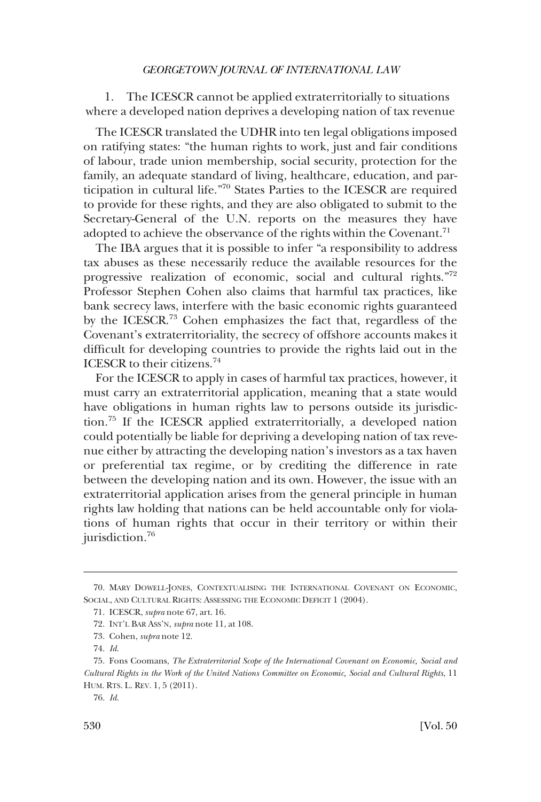<span id="page-13-0"></span>1. The ICESCR cannot be applied extraterritorially to situations where a developed nation deprives a developing nation of tax revenue

The ICESCR translated the UDHR into ten legal obligations imposed on ratifying states: "the human rights to work, just and fair conditions of labour, trade union membership, social security, protection for the family, an adequate standard of living, healthcare, education, and participation in cultural life."70 States Parties to the ICESCR are required to provide for these rights, and they are also obligated to submit to the Secretary-General of the U.N. reports on the measures they have adopted to achieve the observance of the rights within the Covenant.<sup>71</sup>

The IBA argues that it is possible to infer "a responsibility to address tax abuses as these necessarily reduce the available resources for the progressive realization of economic, social and cultural rights."72 Professor Stephen Cohen also claims that harmful tax practices, like bank secrecy laws, interfere with the basic economic rights guaranteed by the ICESCR.73 Cohen emphasizes the fact that, regardless of the Covenant's extraterritoriality, the secrecy of offshore accounts makes it difficult for developing countries to provide the rights laid out in the ICESCR to their citizens.74

For the ICESCR to apply in cases of harmful tax practices, however, it must carry an extraterritorial application, meaning that a state would have obligations in human rights law to persons outside its jurisdiction.75 If the ICESCR applied extraterritorially, a developed nation could potentially be liable for depriving a developing nation of tax revenue either by attracting the developing nation's investors as a tax haven or preferential tax regime, or by crediting the difference in rate between the developing nation and its own. However, the issue with an extraterritorial application arises from the general principle in human rights law holding that nations can be held accountable only for violations of human rights that occur in their territory or within their jurisdiction.<sup>76</sup>

<sup>70.</sup> MARY DOWELL-JONES, CONTEXTUALISING THE INTERNATIONAL COVENANT ON ECONOMIC, SOCIAL, AND CULTURAL RIGHTS: ASSESSING THE ECONOMIC DEFICIT 1 (2004).

<sup>71.</sup> ICESCR, *supra* note 67, art. 16.

<sup>72.</sup> INT'L BAR ASS'N, *supra* note 11, at 108.

<sup>73.</sup> Cohen, *supra* note 12.

<sup>74.</sup> *Id*.

<sup>75.</sup> Fons Coomans, *The Extraterritorial Scope of the International Covenant on Economic, Social and Cultural Rights in the Work of the United Nations Committee on Economic, Social and Cultural Rights*, 11 HUM. RTS. L. REV. 1, 5 (2011).

<sup>76.</sup> *Id*.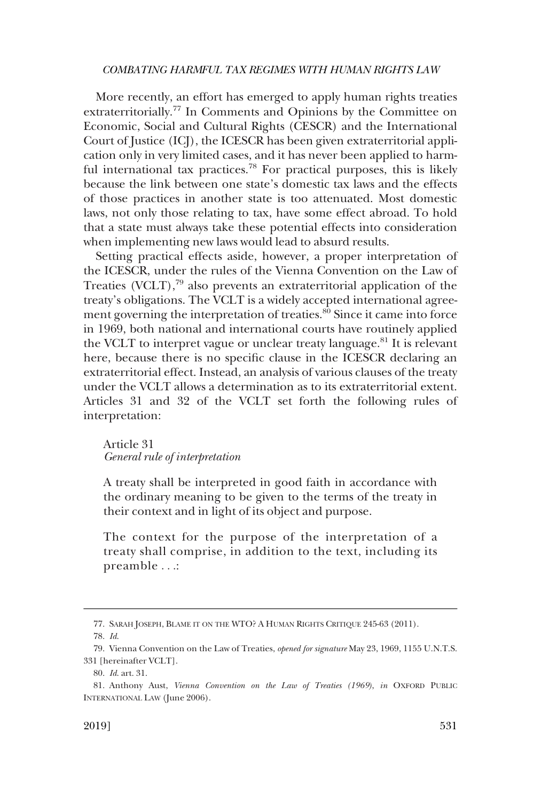More recently, an effort has emerged to apply human rights treaties extraterritorially.<sup>77</sup> In Comments and Opinions by the Committee on Economic, Social and Cultural Rights (CESCR) and the International Court of Justice (ICJ), the ICESCR has been given extraterritorial application only in very limited cases, and it has never been applied to harmful international tax practices.<sup>78</sup> For practical purposes, this is likely because the link between one state's domestic tax laws and the effects of those practices in another state is too attenuated. Most domestic laws, not only those relating to tax, have some effect abroad. To hold that a state must always take these potential effects into consideration when implementing new laws would lead to absurd results.

Setting practical effects aside, however, a proper interpretation of the ICESCR, under the rules of the Vienna Convention on the Law of Treaties (VCLT), $^{79}$  also prevents an extraterritorial application of the treaty's obligations. The VCLT is a widely accepted international agreement governing the interpretation of treaties.<sup>80</sup> Since it came into force in 1969, both national and international courts have routinely applied the VCLT to interpret vague or unclear treaty language.<sup>81</sup> It is relevant here, because there is no specific clause in the ICESCR declaring an extraterritorial effect. Instead, an analysis of various clauses of the treaty under the VCLT allows a determination as to its extraterritorial extent. Articles 31 and 32 of the VCLT set forth the following rules of interpretation:

# Article 31 *General rule of interpretation*

A treaty shall be interpreted in good faith in accordance with the ordinary meaning to be given to the terms of the treaty in their context and in light of its object and purpose.

The context for the purpose of the interpretation of a treaty shall comprise, in addition to the text, including its preamble . . .:

<sup>77.</sup> SARAH JOSEPH, BLAME IT ON THE WTO? A HUMAN RIGHTS CRITIQUE 245-63 (2011).

<sup>78.</sup> *Id*.

<sup>79.</sup> Vienna Convention on the Law of Treaties, *opened for signature* May 23, 1969, 1155 U.N.T.S. 331 [hereinafter VCLT].

<sup>80.</sup> *Id*. art. 31.

<sup>81.</sup> Anthony Aust, *Vienna Convention on the Law of Treaties (1969)*, *in* OXFORD PUBLIC INTERNATIONAL LAW (June 2006).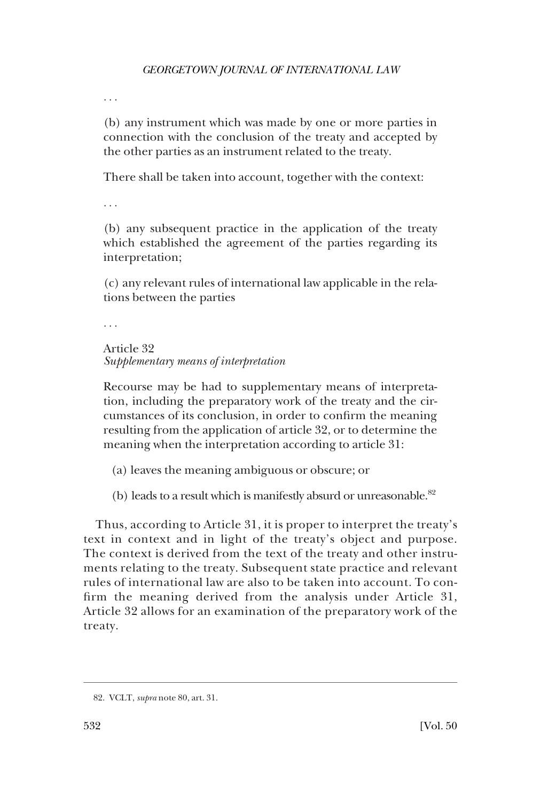. . .

(b) any instrument which was made by one or more parties in connection with the conclusion of the treaty and accepted by the other parties as an instrument related to the treaty.

There shall be taken into account, together with the context:

. . .

(b) any subsequent practice in the application of the treaty which established the agreement of the parties regarding its interpretation;

(c) any relevant rules of international law applicable in the relations between the parties

. . .

```
Article 32 
Supplementary means of interpretation
```
Recourse may be had to supplementary means of interpretation, including the preparatory work of the treaty and the circumstances of its conclusion, in order to confirm the meaning resulting from the application of article 32, or to determine the meaning when the interpretation according to article 31:

- (a) leaves the meaning ambiguous or obscure; or
- (b) leads to a result which is manifestly absurd or unreasonable.<sup>82</sup>

Thus, according to Article 31, it is proper to interpret the treaty's text in context and in light of the treaty's object and purpose. The context is derived from the text of the treaty and other instruments relating to the treaty. Subsequent state practice and relevant rules of international law are also to be taken into account. To confirm the meaning derived from the analysis under Article 31, Article 32 allows for an examination of the preparatory work of the treaty.

<sup>82.</sup> VCLT, *supra* note 80, art. 31.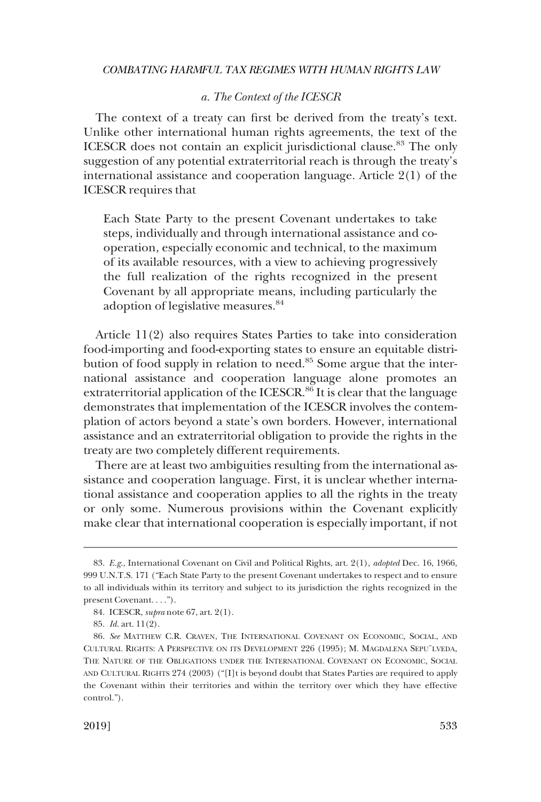# *a. The Context of the ICESCR*

<span id="page-16-0"></span>The context of a treaty can first be derived from the treaty's text. Unlike other international human rights agreements, the text of the ICESCR does not contain an explicit jurisdictional clause.<sup>83</sup> The only suggestion of any potential extraterritorial reach is through the treaty's international assistance and cooperation language. Article 2(1) of the ICESCR requires that

Each State Party to the present Covenant undertakes to take steps, individually and through international assistance and cooperation, especially economic and technical, to the maximum of its available resources, with a view to achieving progressively the full realization of the rights recognized in the present Covenant by all appropriate means, including particularly the adoption of legislative measures.<sup>84</sup>

Article 11(2) also requires States Parties to take into consideration food-importing and food-exporting states to ensure an equitable distribution of food supply in relation to need.85 Some argue that the international assistance and cooperation language alone promotes an extraterritorial application of the ICESCR.<sup>86</sup> It is clear that the language demonstrates that implementation of the ICESCR involves the contemplation of actors beyond a state's own borders. However, international assistance and an extraterritorial obligation to provide the rights in the treaty are two completely different requirements.

There are at least two ambiguities resulting from the international assistance and cooperation language. First, it is unclear whether international assistance and cooperation applies to all the rights in the treaty or only some. Numerous provisions within the Covenant explicitly make clear that international cooperation is especially important, if not

<sup>83.</sup> *E.g*., International Covenant on Civil and Political Rights, art. 2(1), *adopted* Dec. 16, 1966, 999 U.N.T.S. 171 ("Each State Party to the present Covenant undertakes to respect and to ensure to all individuals within its territory and subject to its jurisdiction the rights recognized in the present Covenant. . . .").

<sup>84.</sup> ICESCR, *supra* note 67, art. 2(1).

<sup>85.</sup> *Id*. art. 11(2).

<sup>86.</sup> *See* MATTHEW C.R. CRAVEN, THE INTERNATIONAL COVENANT ON ECONOMIC, SOCIAL, AND CULTURAL RIGHTS: A PERSPECTIVE ON ITS DEVELOPMENT 226 (1995); M. MAGDALENA SEPU¨LVEDA, THE NATURE OF THE OBLIGATIONS UNDER THE INTERNATIONAL COVENANT ON ECONOMIC, SOCIAL AND CULTURAL RIGHTS 274 (2003) ("[I]t is beyond doubt that States Parties are required to apply the Covenant within their territories and within the territory over which they have effective control.").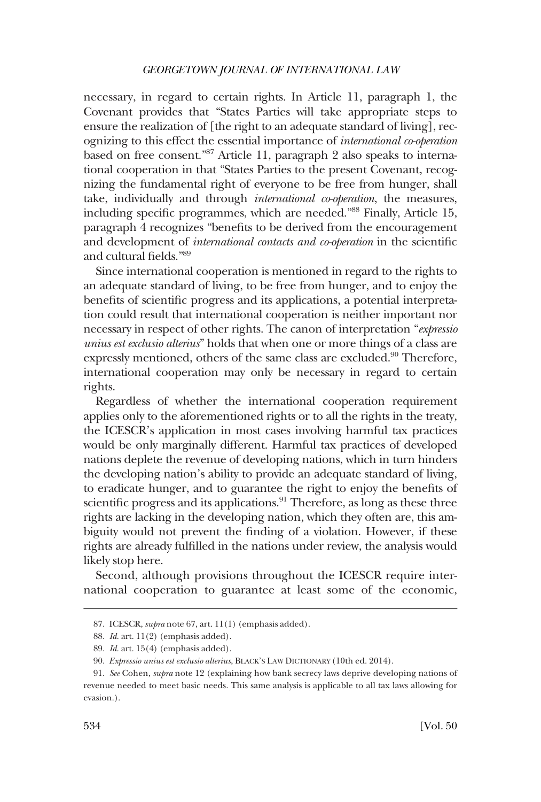necessary, in regard to certain rights. In Article 11, paragraph 1, the Covenant provides that "States Parties will take appropriate steps to ensure the realization of [the right to an adequate standard of living], recognizing to this effect the essential importance of *international co-operation*  based on free consent."87 Article 11, paragraph 2 also speaks to international cooperation in that "States Parties to the present Covenant, recognizing the fundamental right of everyone to be free from hunger, shall take, individually and through *international co-operation*, the measures, including specific programmes, which are needed."88 Finally, Article 15, paragraph 4 recognizes "benefits to be derived from the encouragement and development of *international contacts and co-operation* in the scientific and cultural fields."89

Since international cooperation is mentioned in regard to the rights to an adequate standard of living, to be free from hunger, and to enjoy the benefits of scientific progress and its applications, a potential interpretation could result that international cooperation is neither important nor necessary in respect of other rights. The canon of interpretation "*expressio unius est exclusio alterius*" holds that when one or more things of a class are expressly mentioned, others of the same class are excluded.<sup>90</sup> Therefore, international cooperation may only be necessary in regard to certain rights.

Regardless of whether the international cooperation requirement applies only to the aforementioned rights or to all the rights in the treaty, the ICESCR's application in most cases involving harmful tax practices would be only marginally different. Harmful tax practices of developed nations deplete the revenue of developing nations, which in turn hinders the developing nation's ability to provide an adequate standard of living, to eradicate hunger, and to guarantee the right to enjoy the benefits of scientific progress and its applications.<sup>91</sup> Therefore, as long as these three rights are lacking in the developing nation, which they often are, this ambiguity would not prevent the finding of a violation. However, if these rights are already fulfilled in the nations under review, the analysis would likely stop here.

Second, although provisions throughout the ICESCR require international cooperation to guarantee at least some of the economic,

<sup>87.</sup> ICESCR, *supra* note 67, art. 11(1) (emphasis added).

<sup>88.</sup> *Id*. art. 11(2) (emphasis added).

<sup>89.</sup> *Id*. art. 15(4) (emphasis added).

<sup>90.</sup> *Expressio unius est exclusio alterius*, BLACK'S LAW DICTIONARY (10th ed. 2014).

<sup>91.</sup> *See* Cohen, *supra* note 12 (explaining how bank secrecy laws deprive developing nations of revenue needed to meet basic needs. This same analysis is applicable to all tax laws allowing for evasion.).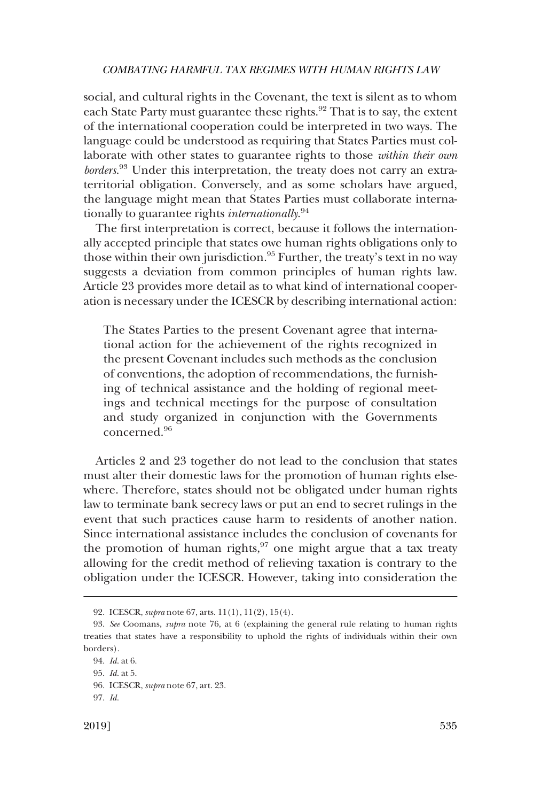social, and cultural rights in the Covenant, the text is silent as to whom each State Party must guarantee these rights. $92$  That is to say, the extent of the international cooperation could be interpreted in two ways. The language could be understood as requiring that States Parties must collaborate with other states to guarantee rights to those *within their own borders*. 93 Under this interpretation, the treaty does not carry an extraterritorial obligation. Conversely, and as some scholars have argued, the language might mean that States Parties must collaborate internationally to guarantee rights *internationally*. 94

The first interpretation is correct, because it follows the internationally accepted principle that states owe human rights obligations only to those within their own jurisdiction.<sup>95</sup> Further, the treaty's text in no way suggests a deviation from common principles of human rights law. Article 23 provides more detail as to what kind of international cooperation is necessary under the ICESCR by describing international action:

The States Parties to the present Covenant agree that international action for the achievement of the rights recognized in the present Covenant includes such methods as the conclusion of conventions, the adoption of recommendations, the furnishing of technical assistance and the holding of regional meetings and technical meetings for the purpose of consultation and study organized in conjunction with the Governments concerned.<sup>96</sup>

Articles 2 and 23 together do not lead to the conclusion that states must alter their domestic laws for the promotion of human rights elsewhere. Therefore, states should not be obligated under human rights law to terminate bank secrecy laws or put an end to secret rulings in the event that such practices cause harm to residents of another nation. Since international assistance includes the conclusion of covenants for the promotion of human rights, $97$  one might argue that a tax treaty allowing for the credit method of relieving taxation is contrary to the obligation under the ICESCR. However, taking into consideration the

<sup>92.</sup> ICESCR, *supra* note 67, arts. 11(1), 11(2), 15(4).

<sup>93.</sup> *See* Coomans, *supra* note 76, at 6 (explaining the general rule relating to human rights treaties that states have a responsibility to uphold the rights of individuals within their own borders).

<sup>94.</sup> *Id*. at 6.

<sup>95.</sup> *Id*. at 5.

<sup>96.</sup> ICESCR, *supra* note 67, art. 23.

<sup>97.</sup> *Id*.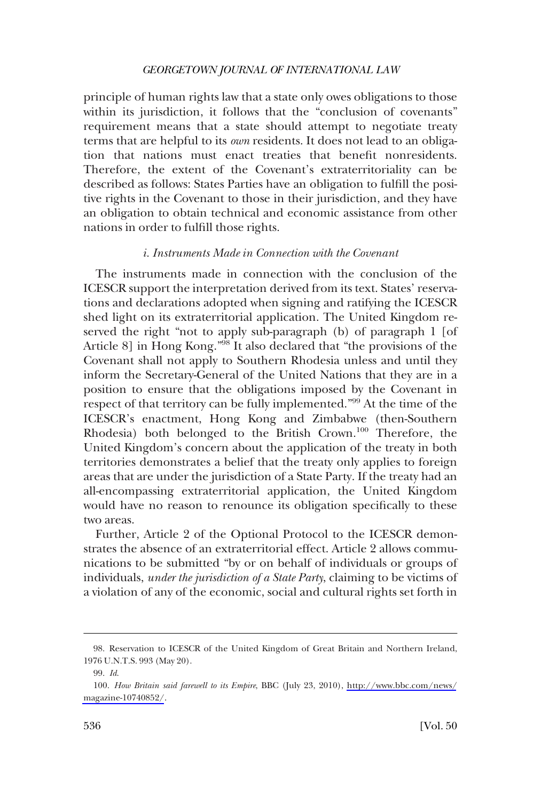<span id="page-19-0"></span>principle of human rights law that a state only owes obligations to those within its jurisdiction, it follows that the "conclusion of covenants" requirement means that a state should attempt to negotiate treaty terms that are helpful to its *own* residents. It does not lead to an obligation that nations must enact treaties that benefit nonresidents. Therefore, the extent of the Covenant's extraterritoriality can be described as follows: States Parties have an obligation to fulfill the positive rights in the Covenant to those in their jurisdiction, and they have an obligation to obtain technical and economic assistance from other nations in order to fulfill those rights.

# *i. Instruments Made in Connection with the Covenant*

The instruments made in connection with the conclusion of the ICESCR support the interpretation derived from its text. States' reservations and declarations adopted when signing and ratifying the ICESCR shed light on its extraterritorial application. The United Kingdom reserved the right "not to apply sub-paragraph (b) of paragraph 1 [of Article 8] in Hong Kong."98 It also declared that "the provisions of the Covenant shall not apply to Southern Rhodesia unless and until they inform the Secretary-General of the United Nations that they are in a position to ensure that the obligations imposed by the Covenant in respect of that territory can be fully implemented."99 At the time of the ICESCR's enactment, Hong Kong and Zimbabwe (then-Southern Rhodesia) both belonged to the British Crown.<sup>100</sup> Therefore, the United Kingdom's concern about the application of the treaty in both territories demonstrates a belief that the treaty only applies to foreign areas that are under the jurisdiction of a State Party. If the treaty had an all-encompassing extraterritorial application, the United Kingdom would have no reason to renounce its obligation specifically to these two areas.

Further, Article 2 of the Optional Protocol to the ICESCR demonstrates the absence of an extraterritorial effect. Article 2 allows communications to be submitted "by or on behalf of individuals or groups of individuals, *under the jurisdiction of a State Party*, claiming to be victims of a violation of any of the economic, social and cultural rights set forth in

<sup>98.</sup> Reservation to ICESCR of the United Kingdom of Great Britain and Northern Ireland, 1976 U.N.T.S. 993 (May 20).

<sup>99.</sup> *Id*.

*How Britain said farewell to its Empire*, BBC (July 23, 2010), [http://www.bbc.com/news/](http://www.bbc.com/news/magazine-10740852/) 100. [magazine-10740852/](http://www.bbc.com/news/magazine-10740852/).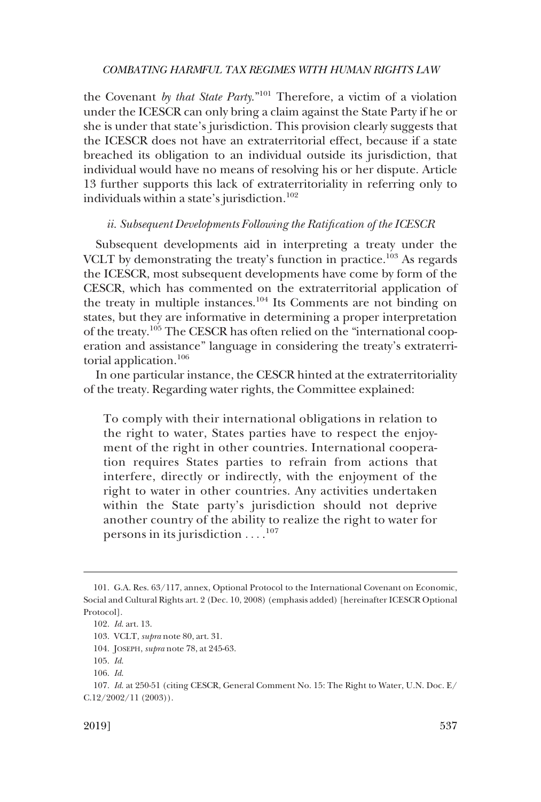<span id="page-20-0"></span>the Covenant *by that State Party*."101 Therefore, a victim of a violation under the ICESCR can only bring a claim against the State Party if he or she is under that state's jurisdiction. This provision clearly suggests that the ICESCR does not have an extraterritorial effect, because if a state breached its obligation to an individual outside its jurisdiction, that individual would have no means of resolving his or her dispute. Article 13 further supports this lack of extraterritoriality in referring only to individuals within a state's jurisdiction.<sup>102</sup>

# *ii. Subsequent Developments Following the Ratification of the ICESCR*

Subsequent developments aid in interpreting a treaty under the VCLT by demonstrating the treaty's function in practice.<sup>103</sup> As regards the ICESCR, most subsequent developments have come by form of the CESCR, which has commented on the extraterritorial application of the treaty in multiple instances.104 Its Comments are not binding on states, but they are informative in determining a proper interpretation of the treaty.<sup>105</sup> The CESCR has often relied on the "international cooperation and assistance" language in considering the treaty's extraterritorial application.106

In one particular instance, the CESCR hinted at the extraterritoriality of the treaty. Regarding water rights, the Committee explained:

To comply with their international obligations in relation to the right to water, States parties have to respect the enjoyment of the right in other countries. International cooperation requires States parties to refrain from actions that interfere, directly or indirectly, with the enjoyment of the right to water in other countries. Any activities undertaken within the State party's jurisdiction should not deprive another country of the ability to realize the right to water for persons in its jurisdiction  $\dots$ .<sup>107</sup>

<sup>101.</sup> G.A. Res. 63/117, annex, Optional Protocol to the International Covenant on Economic, Social and Cultural Rights art. 2 (Dec. 10, 2008) (emphasis added) [hereinafter ICESCR Optional Protocol].

<sup>102.</sup> *Id*. art. 13.

<sup>103.</sup> VCLT, *supra* note 80, art. 31.

<sup>104.</sup> JOSEPH, *supra* note 78, at 245-63.

<sup>105.</sup> *Id*.

<sup>106.</sup> *Id*.

<sup>107.</sup> *Id*. at 250-51 (citing CESCR, General Comment No. 15: The Right to Water, U.N. Doc. E/  $C.12/2002/11$  (2003)).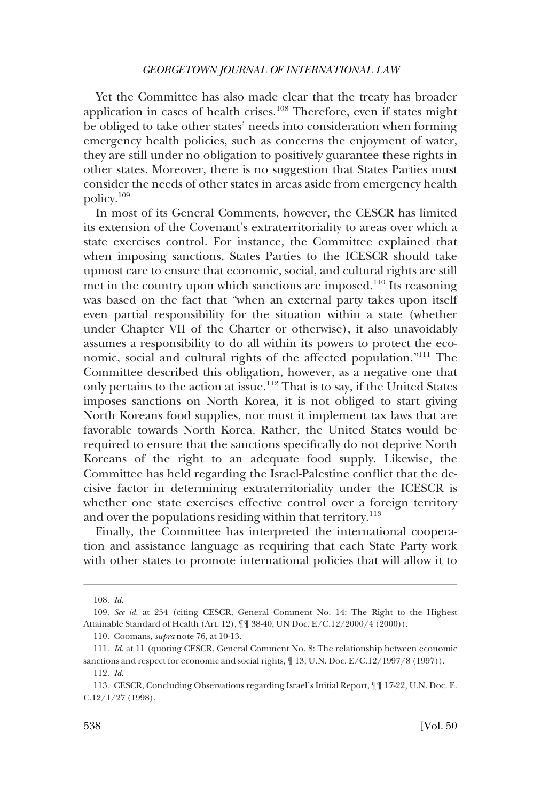Yet the Committee has also made clear that the treaty has broader application in cases of health crises.108 Therefore, even if states might be obliged to take other states' needs into consideration when forming emergency health policies, such as concerns the enjoyment of water, they are still under no obligation to positively guarantee these rights in other states. Moreover, there is no suggestion that States Parties must consider the needs of other states in areas aside from emergency health policy.109

In most of its General Comments, however, the CESCR has limited its extension of the Covenant's extraterritoriality to areas over which a state exercises control. For instance, the Committee explained that when imposing sanctions, States Parties to the ICESCR should take upmost care to ensure that economic, social, and cultural rights are still met in the country upon which sanctions are imposed.<sup>110</sup> Its reasoning was based on the fact that "when an external party takes upon itself even partial responsibility for the situation within a state (whether under Chapter VII of the Charter or otherwise), it also unavoidably assumes a responsibility to do all within its powers to protect the economic, social and cultural rights of the affected population."111 The Committee described this obligation, however, as a negative one that only pertains to the action at issue.<sup>112</sup> That is to say, if the United States imposes sanctions on North Korea, it is not obliged to start giving North Koreans food supplies, nor must it implement tax laws that are favorable towards North Korea. Rather, the United States would be required to ensure that the sanctions specifically do not deprive North Koreans of the right to an adequate food supply. Likewise, the Committee has held regarding the Israel-Palestine conflict that the decisive factor in determining extraterritoriality under the ICESCR is whether one state exercises effective control over a foreign territory and over the populations residing within that territory.<sup>113</sup>

Finally, the Committee has interpreted the international cooperation and assistance language as requiring that each State Party work with other states to promote international policies that will allow it to

<sup>108.</sup> *Id*.

<sup>109.</sup> *See id*. at 254 (citing CESCR, General Comment No. 14: The Right to the Highest Attainable Standard of Health (Art. 12), ¶¶ 38-40, UN Doc. E/C.12/2000/4 (2000)).

<sup>110.</sup> Coomans, *supra* note 76, at 10-13.

<sup>111.</sup> *Id*. at 11 (quoting CESCR, General Comment No. 8: The relationship between economic sanctions and respect for economic and social rights,  $\P$  13, U.N. Doc. E/C.12/1997/8 (1997)).

<sup>112.</sup> *Id*.

<sup>113.</sup> CESCR, Concluding Observations regarding Israel's Initial Report, ¶¶ 17-22, U.N. Doc. E. C.12/1/27 (1998).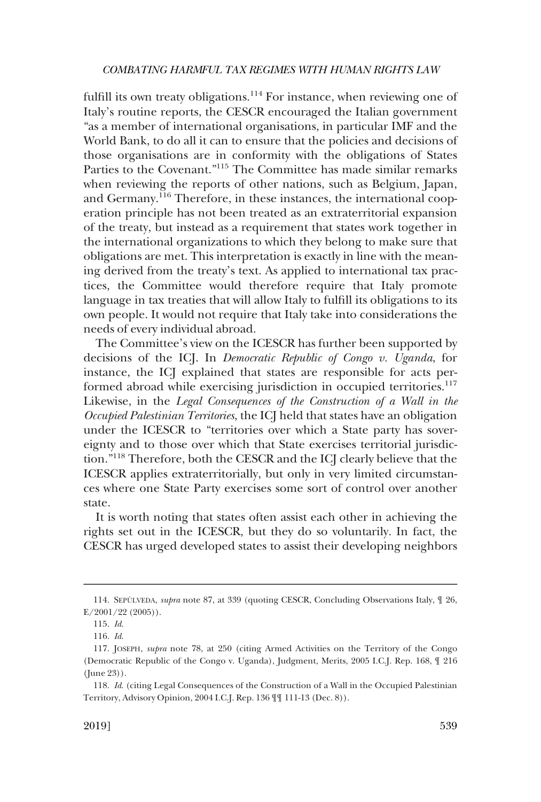fulfill its own treaty obligations.<sup>114</sup> For instance, when reviewing one of Italy's routine reports, the CESCR encouraged the Italian government "as a member of international organisations, in particular IMF and the World Bank, to do all it can to ensure that the policies and decisions of those organisations are in conformity with the obligations of States Parties to the Covenant."115 The Committee has made similar remarks when reviewing the reports of other nations, such as Belgium, Japan, and Germany.116 Therefore, in these instances, the international cooperation principle has not been treated as an extraterritorial expansion of the treaty, but instead as a requirement that states work together in the international organizations to which they belong to make sure that obligations are met. This interpretation is exactly in line with the meaning derived from the treaty's text. As applied to international tax practices, the Committee would therefore require that Italy promote language in tax treaties that will allow Italy to fulfill its obligations to its own people. It would not require that Italy take into considerations the needs of every individual abroad.

The Committee's view on the ICESCR has further been supported by decisions of the ICJ. In *Democratic Republic of Congo v. Uganda*, for instance, the ICJ explained that states are responsible for acts performed abroad while exercising jurisdiction in occupied territories.<sup>117</sup> Likewise, in the *Legal Consequences of the Construction of a Wall in the Occupied Palestinian Territories*, the ICJ held that states have an obligation under the ICESCR to "territories over which a State party has sovereignty and to those over which that State exercises territorial jurisdiction."118 Therefore, both the CESCR and the ICJ clearly believe that the ICESCR applies extraterritorially, but only in very limited circumstances where one State Party exercises some sort of control over another state.

It is worth noting that states often assist each other in achieving the rights set out in the ICESCR, but they do so voluntarily. In fact, the CESCR has urged developed states to assist their developing neighbors

<sup>114.</sup> SEPÚLVEDA, *supra* note 87, at 339 (quoting CESCR, Concluding Observations Italy,  $\parallel$  26,  $E/2001/22$  (2005)).

<sup>115.</sup> *Id*.

<sup>116.</sup> *Id*.

<sup>117.</sup> JOSEPH, *supra* note 78, at 250 (citing Armed Activities on the Territory of the Congo (Democratic Republic of the Congo v. Uganda), Judgment, Merits, 2005 I.C.J. Rep. 168, ¶ 216 (June 23)).

<sup>118.</sup> *Id*. (citing Legal Consequences of the Construction of a Wall in the Occupied Palestinian Territory, Advisory Opinion, 2004 I.C.J. Rep. 136 ¶¶ 111-13 (Dec. 8)).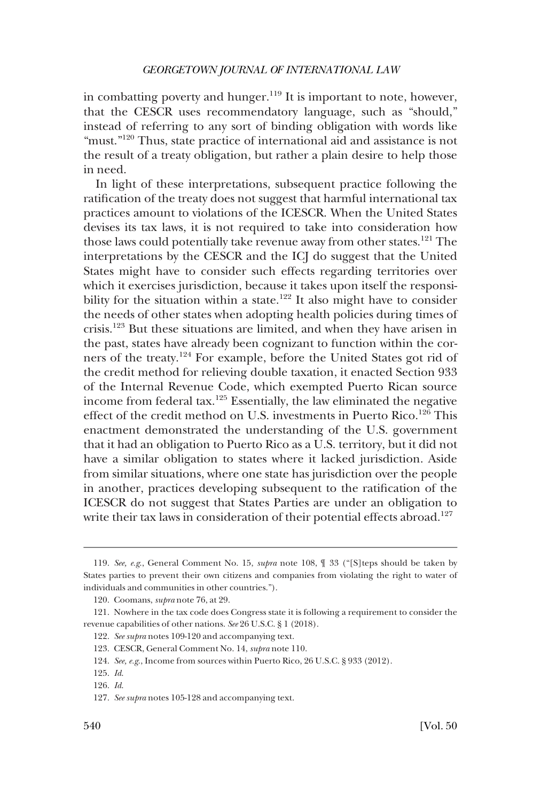in combatting poverty and hunger.<sup>119</sup> It is important to note, however, that the CESCR uses recommendatory language, such as "should," instead of referring to any sort of binding obligation with words like "must."<sup>120</sup> Thus, state practice of international aid and assistance is not the result of a treaty obligation, but rather a plain desire to help those in need.

In light of these interpretations, subsequent practice following the ratification of the treaty does not suggest that harmful international tax practices amount to violations of the ICESCR. When the United States devises its tax laws, it is not required to take into consideration how those laws could potentially take revenue away from other states.<sup>121</sup> The interpretations by the CESCR and the ICJ do suggest that the United States might have to consider such effects regarding territories over which it exercises jurisdiction, because it takes upon itself the responsibility for the situation within a state.<sup>122</sup> It also might have to consider the needs of other states when adopting health policies during times of crisis.123 But these situations are limited, and when they have arisen in the past, states have already been cognizant to function within the corners of the treaty.124 For example, before the United States got rid of the credit method for relieving double taxation, it enacted Section 933 of the Internal Revenue Code, which exempted Puerto Rican source income from federal tax.125 Essentially, the law eliminated the negative effect of the credit method on U.S. investments in Puerto Rico.<sup>126</sup> This enactment demonstrated the understanding of the U.S. government that it had an obligation to Puerto Rico as a U.S. territory, but it did not have a similar obligation to states where it lacked jurisdiction. Aside from similar situations, where one state has jurisdiction over the people in another, practices developing subsequent to the ratification of the ICESCR do not suggest that States Parties are under an obligation to write their tax laws in consideration of their potential effects abroad.<sup>127</sup>

<sup>119.</sup> *See, e.g*., General Comment No. 15, *supra* note 108, ¶ 33 ("[S]teps should be taken by States parties to prevent their own citizens and companies from violating the right to water of individuals and communities in other countries.").

<sup>120.</sup> Coomans, *supra* note 76, at 29.

<sup>121.</sup> Nowhere in the tax code does Congress state it is following a requirement to consider the revenue capabilities of other nations. *See* 26 U.S.C. § 1 (2018).

<sup>122.</sup> *See supra* notes 109-120 and accompanying text.

<sup>123.</sup> CESCR, General Comment No. 14, *supra* note 110.

<sup>124.</sup> *See, e.g*., Income from sources within Puerto Rico, 26 U.S.C. § 933 (2012).

<sup>125.</sup> *Id*.

<sup>126.</sup> *Id*.

<sup>127.</sup> *See supra* notes 105-128 and accompanying text.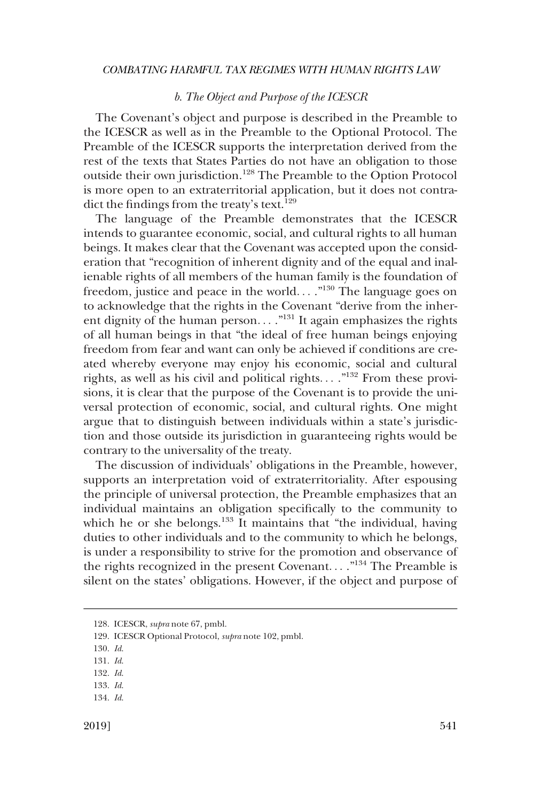# *b. The Object and Purpose of the ICESCR*

<span id="page-24-0"></span>The Covenant's object and purpose is described in the Preamble to the ICESCR as well as in the Preamble to the Optional Protocol. The Preamble of the ICESCR supports the interpretation derived from the rest of the texts that States Parties do not have an obligation to those outside their own jurisdiction.128 The Preamble to the Option Protocol is more open to an extraterritorial application, but it does not contradict the findings from the treaty's text.<sup>129</sup>

The language of the Preamble demonstrates that the ICESCR intends to guarantee economic, social, and cultural rights to all human beings. It makes clear that the Covenant was accepted upon the consideration that "recognition of inherent dignity and of the equal and inalienable rights of all members of the human family is the foundation of freedom, justice and peace in the world...  $.^{130}$  The language goes on to acknowledge that the rights in the Covenant "derive from the inherent dignity of the human person...."<sup>131</sup> It again emphasizes the rights of all human beings in that "the ideal of free human beings enjoying freedom from fear and want can only be achieved if conditions are created whereby everyone may enjoy his economic, social and cultural rights, as well as his civil and political rights...  $.^{132}$  From these provisions, it is clear that the purpose of the Covenant is to provide the universal protection of economic, social, and cultural rights. One might argue that to distinguish between individuals within a state's jurisdiction and those outside its jurisdiction in guaranteeing rights would be contrary to the universality of the treaty.

The discussion of individuals' obligations in the Preamble, however, supports an interpretation void of extraterritoriality. After espousing the principle of universal protection, the Preamble emphasizes that an individual maintains an obligation specifically to the community to which he or she belongs.<sup>133</sup> It maintains that "the individual, having duties to other individuals and to the community to which he belongs, is under a responsibility to strive for the promotion and observance of the rights recognized in the present Covenant. . . ."134 The Preamble is silent on the states' obligations. However, if the object and purpose of

130. *Id*.

133. *Id*. 134. *Id*.

<sup>128.</sup> ICESCR, *supra* note 67, pmbl.

<sup>129.</sup> ICESCR Optional Protocol, *supra* note 102, pmbl.

<sup>131.</sup> *Id*.

<sup>132.</sup> *Id*.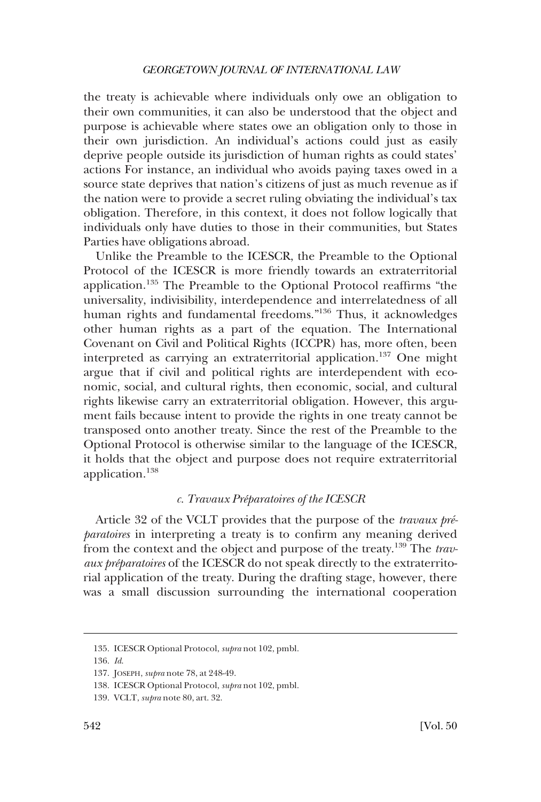<span id="page-25-0"></span>the treaty is achievable where individuals only owe an obligation to their own communities, it can also be understood that the object and purpose is achievable where states owe an obligation only to those in their own jurisdiction. An individual's actions could just as easily deprive people outside its jurisdiction of human rights as could states' actions For instance, an individual who avoids paying taxes owed in a source state deprives that nation's citizens of just as much revenue as if the nation were to provide a secret ruling obviating the individual's tax obligation. Therefore, in this context, it does not follow logically that individuals only have duties to those in their communities, but States Parties have obligations abroad.

Unlike the Preamble to the ICESCR, the Preamble to the Optional Protocol of the ICESCR is more friendly towards an extraterritorial application.135 The Preamble to the Optional Protocol reaffirms "the universality, indivisibility, interdependence and interrelatedness of all human rights and fundamental freedoms."136 Thus, it acknowledges other human rights as a part of the equation. The International Covenant on Civil and Political Rights (ICCPR) has, more often, been interpreted as carrying an extraterritorial application.<sup>137</sup> One might argue that if civil and political rights are interdependent with economic, social, and cultural rights, then economic, social, and cultural rights likewise carry an extraterritorial obligation. However, this argument fails because intent to provide the rights in one treaty cannot be transposed onto another treaty. Since the rest of the Preamble to the Optional Protocol is otherwise similar to the language of the ICESCR, it holds that the object and purpose does not require extraterritorial application.138

# *c. Travaux Pre´paratoires of the ICESCR*

Article 32 of the VCLT provides that the purpose of the *travaux préparatoires* in interpreting a treaty is to confirm any meaning derived from the context and the object and purpose of the treaty.139 The *travaux préparatoires* of the ICESCR do not speak directly to the extraterritorial application of the treaty. During the drafting stage, however, there was a small discussion surrounding the international cooperation

<sup>135.</sup> ICESCR Optional Protocol, *supra* not 102, pmbl.

<sup>136.</sup> *Id*.

<sup>137.</sup> JOSEPH, *supra* note 78, at 248-49.

<sup>138.</sup> ICESCR Optional Protocol, *supra* not 102, pmbl.

<sup>139.</sup> VCLT, *supra* note 80, art. 32.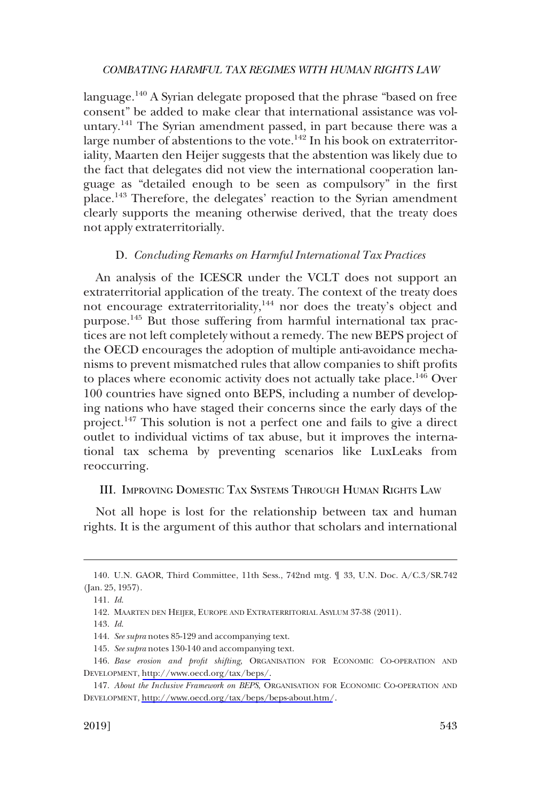<span id="page-26-0"></span>language.<sup>140</sup> A Syrian delegate proposed that the phrase "based on free consent" be added to make clear that international assistance was voluntary.<sup>141</sup> The Syrian amendment passed, in part because there was a large number of abstentions to the vote.<sup>142</sup> In his book on extraterritoriality, Maarten den Heijer suggests that the abstention was likely due to the fact that delegates did not view the international cooperation language as "detailed enough to be seen as compulsory" in the first place.143 Therefore, the delegates' reaction to the Syrian amendment clearly supports the meaning otherwise derived, that the treaty does not apply extraterritorially.

#### D. *Concluding Remarks on Harmful International Tax Practices*

An analysis of the ICESCR under the VCLT does not support an extraterritorial application of the treaty. The context of the treaty does not encourage extraterritoriality,<sup>144</sup> nor does the treaty's object and purpose.145 But those suffering from harmful international tax practices are not left completely without a remedy. The new BEPS project of the OECD encourages the adoption of multiple anti-avoidance mechanisms to prevent mismatched rules that allow companies to shift profits to places where economic activity does not actually take place.<sup>146</sup> Over 100 countries have signed onto BEPS, including a number of developing nations who have staged their concerns since the early days of the project.<sup>147</sup> This solution is not a perfect one and fails to give a direct outlet to individual victims of tax abuse, but it improves the international tax schema by preventing scenarios like LuxLeaks from reoccurring.

# III. IMPROVING DOMESTIC TAX SYSTEMS THROUGH HUMAN RIGHTS LAW

Not all hope is lost for the relationship between tax and human rights. It is the argument of this author that scholars and international

<sup>140.</sup> U.N. GAOR, Third Committee, 11th Sess., 742nd mtg. ¶ 33, U.N. Doc. A/C.3/SR.742 (Jan. 25, 1957).

<sup>141.</sup> *Id*.

<sup>142.</sup> MAARTEN DEN HEIJER, EUROPE AND EXTRATERRITORIAL ASYLUM 37-38 (2011).

<sup>143.</sup> *Id*.

<sup>144.</sup> *See supra* notes 85-129 and accompanying text.

<sup>145.</sup> *See supra* notes 130-140 and accompanying text.

<sup>146.</sup> Base erosion and profit shifting, ORGANISATION FOR ECONOMIC CO-OPERATION AND DEVELOPMENT, [http://www.oecd.org/tax/beps/.](http://www.oecd.org/tax/beps/)

*About the Inclusive Framework on BEPS*, ORGANISATION FOR ECONOMIC CO-OPERATION AND 147. DEVELOPMENT,<http://www.oecd.org/tax/beps/beps-about.htm/>.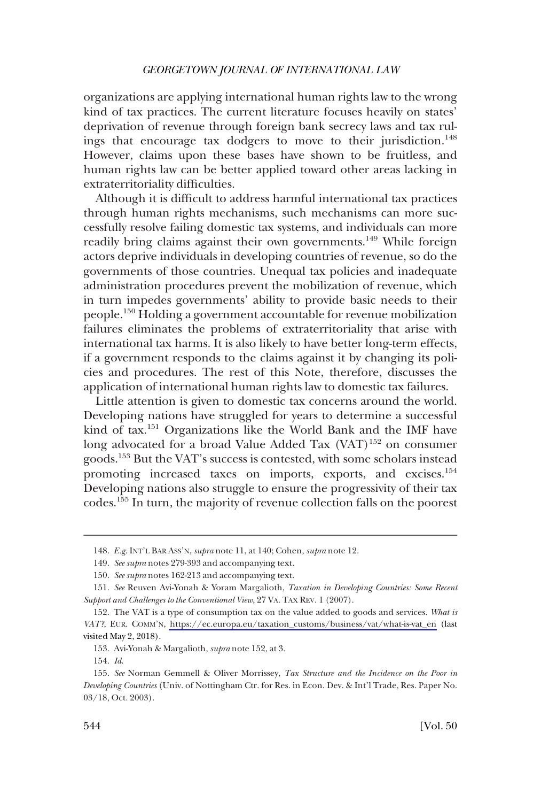organizations are applying international human rights law to the wrong kind of tax practices. The current literature focuses heavily on states' deprivation of revenue through foreign bank secrecy laws and tax rulings that encourage tax dodgers to move to their jurisdiction.<sup>148</sup> However, claims upon these bases have shown to be fruitless, and human rights law can be better applied toward other areas lacking in extraterritoriality difficulties.

Although it is difficult to address harmful international tax practices through human rights mechanisms, such mechanisms can more successfully resolve failing domestic tax systems, and individuals can more readily bring claims against their own governments.<sup>149</sup> While foreign actors deprive individuals in developing countries of revenue, so do the governments of those countries. Unequal tax policies and inadequate administration procedures prevent the mobilization of revenue, which in turn impedes governments' ability to provide basic needs to their people.150 Holding a government accountable for revenue mobilization failures eliminates the problems of extraterritoriality that arise with international tax harms. It is also likely to have better long-term effects, if a government responds to the claims against it by changing its policies and procedures. The rest of this Note, therefore, discusses the application of international human rights law to domestic tax failures.

Little attention is given to domestic tax concerns around the world. Developing nations have struggled for years to determine a successful kind of tax.151 Organizations like the World Bank and the IMF have long advocated for a broad Value Added Tax  $(VAT)^{152}$  on consumer goods.153 But the VAT's success is contested, with some scholars instead promoting increased taxes on imports, exports, and excises.<sup>154</sup> Developing nations also struggle to ensure the progressivity of their tax codes.155 In turn, the majority of revenue collection falls on the poorest

<sup>148.</sup> *E.g*. INT'L BAR ASS'N, *supra* note 11, at 140; Cohen, *supra* note 12.

<sup>149.</sup> *See supra* notes 279-393 and accompanying text.

<sup>150.</sup> *See supra* notes 162-213 and accompanying text.

<sup>151.</sup> *See* Reuven Avi-Yonah & Yoram Margalioth, *Taxation in Developing Countries: Some Recent Support and Challenges to the Conventional View*, 27 VA. TAX REV. 1 (2007).

<sup>152.</sup> The VAT is a type of consumption tax on the value added to goods and services. What is *VAT?*, EUR. COMM'N, [https://ec.europa.eu/taxation\\_customs/business/vat/what-is-vat\\_en](https://ec.europa.eu/taxation_customs/business/vat/what-is-vat_en) (last visited May 2, 2018).

<sup>153.</sup> Avi-Yonah & Margalioth, *supra* note 152, at 3.

<sup>154.</sup> *Id*.

<sup>155.</sup> *See* Norman Gemmell & Oliver Morrissey, *Tax Structure and the Incidence on the Poor in Developing Countries* (Univ. of Nottingham Ctr. for Res. in Econ. Dev. & Int'l Trade, Res. Paper No. 03/18, Oct. 2003).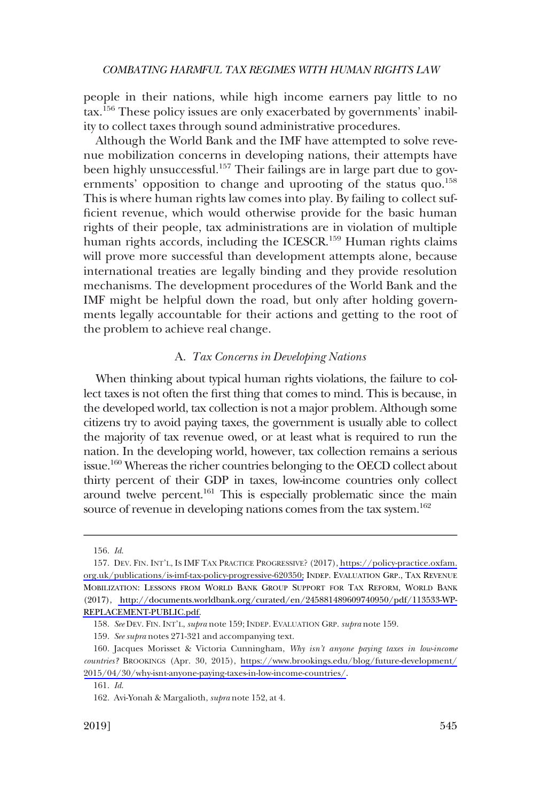<span id="page-28-0"></span>people in their nations, while high income earners pay little to no tax.156 These policy issues are only exacerbated by governments' inability to collect taxes through sound administrative procedures.

Although the World Bank and the IMF have attempted to solve revenue mobilization concerns in developing nations, their attempts have been highly unsuccessful.<sup>157</sup> Their failings are in large part due to governments' opposition to change and uprooting of the status quo.<sup>158</sup> This is where human rights law comes into play. By failing to collect sufficient revenue, which would otherwise provide for the basic human rights of their people, tax administrations are in violation of multiple human rights accords, including the ICESCR.<sup>159</sup> Human rights claims will prove more successful than development attempts alone, because international treaties are legally binding and they provide resolution mechanisms. The development procedures of the World Bank and the IMF might be helpful down the road, but only after holding governments legally accountable for their actions and getting to the root of the problem to achieve real change.

# A. *Tax Concerns in Developing Nations*

When thinking about typical human rights violations, the failure to collect taxes is not often the first thing that comes to mind. This is because, in the developed world, tax collection is not a major problem. Although some citizens try to avoid paying taxes, the government is usually able to collect the majority of tax revenue owed, or at least what is required to run the nation. In the developing world, however, tax collection remains a serious issue.<sup>160</sup> Whereas the richer countries belonging to the OECD collect about thirty percent of their GDP in taxes, low-income countries only collect around twelve percent.<sup>161</sup> This is especially problematic since the main source of revenue in developing nations comes from the tax system.<sup>162</sup>

<sup>156.</sup> *Id*.

<sup>157.</sup> DEV. FIN. INT'L, IS IMF TAX PRACTICE PROGRESSIVE? (2017), [https://policy-practice.oxfam.](https://policy-practice.oxfam.org.uk/publications/is-imf-tax-policy-progressive-620350) [org.uk/publications/is-imf-tax-policy-progressive-620350;](https://policy-practice.oxfam.org.uk/publications/is-imf-tax-policy-progressive-620350) INDEP. EVALUATION GRP., TAX REVENUE MOBILIZATION: LESSONS FROM WORLD BANK GROUP SUPPORT FOR TAX REFORM, WORLD BANK (2017), [http://documents.worldbank.org/curated/en/245881489609740950/pdf/113533-WP-](http://documents.worldbank.org/curated/en/245881489609740950/pdf/113533-WP-REPLACEMENT-PUBLIC.pdf)[REPLACEMENT-PUBLIC.pdf.](http://documents.worldbank.org/curated/en/245881489609740950/pdf/113533-WP-REPLACEMENT-PUBLIC.pdf)

<sup>158.</sup> *See* DEV. FIN. INT'L, *supra* note 159; INDEP. EVALUATION GRP. *supra* note 159.

<sup>159.</sup> *See supra* notes 271-321 and accompanying text.

Jacques Morisset & Victoria Cunningham, *Why isn't anyone paying taxes in low-income*  160. *countries?* BROOKINGS (Apr. 30, 2015), [https://www.brookings.edu/blog/future-development/](https://www.brookings.edu/blog/future-development/2015/04/30/why-isnt-anyone-paying-taxes-in-low-income-countries/)  [2015/04/30/why-isnt-anyone-paying-taxes-in-low-income-countries/](https://www.brookings.edu/blog/future-development/2015/04/30/why-isnt-anyone-paying-taxes-in-low-income-countries/).

<sup>161.</sup> *Id*.

<sup>162.</sup> Avi-Yonah & Margalioth, *supra* note 152, at 4.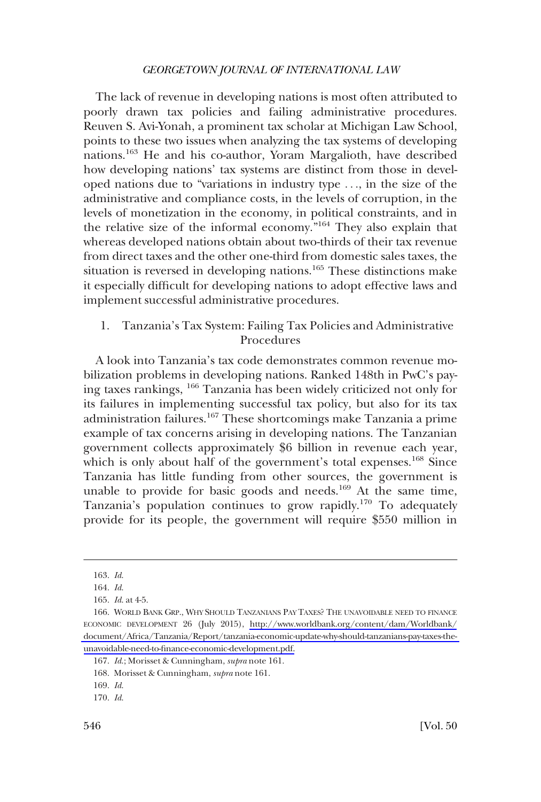<span id="page-29-0"></span>The lack of revenue in developing nations is most often attributed to poorly drawn tax policies and failing administrative procedures. Reuven S. Avi-Yonah, a prominent tax scholar at Michigan Law School, points to these two issues when analyzing the tax systems of developing nations.163 He and his co-author, Yoram Margalioth, have described how developing nations' tax systems are distinct from those in developed nations due to "variations in industry type . . ., in the size of the administrative and compliance costs, in the levels of corruption, in the levels of monetization in the economy, in political constraints, and in the relative size of the informal economy."164 They also explain that whereas developed nations obtain about two-thirds of their tax revenue from direct taxes and the other one-third from domestic sales taxes, the situation is reversed in developing nations.165 These distinctions make it especially difficult for developing nations to adopt effective laws and implement successful administrative procedures.

# 1. Tanzania's Tax System: Failing Tax Policies and Administrative Procedures

A look into Tanzania's tax code demonstrates common revenue mobilization problems in developing nations. Ranked 148th in PwC's paying taxes rankings, <sup>166</sup> Tanzania has been widely criticized not only for its failures in implementing successful tax policy, but also for its tax administration failures.167 These shortcomings make Tanzania a prime example of tax concerns arising in developing nations. The Tanzanian government collects approximately \$6 billion in revenue each year, which is only about half of the government's total expenses.<sup>168</sup> Since Tanzania has little funding from other sources, the government is unable to provide for basic goods and needs.<sup>169</sup> At the same time, Tanzania's population continues to grow rapidly.170 To adequately provide for its people, the government will require \$550 million in

<sup>163.</sup> *Id*.

<sup>164.</sup> *Id*.

<sup>165.</sup> *Id*. at 4-5.

<sup>166.</sup> WORLD BANK GRP., WHY SHOULD TANZANIANS PAY TAXES? THE UNAVOIDABLE NEED TO FINANCE ECONOMIC DEVELOPMENT 26 (July 2015), [http://www.worldbank.org/content/dam/Worldbank/](http://www.worldbank.org/content/dam/Worldbank/document/Africa/Tanzania/Report/tanzania-economic-update-why-should-tanzanians-pay-taxes-the-unavoidable-need-to-finance-economic-development.pdf)  [document/Africa/Tanzania/Report/tanzania-economic-update-why-should-tanzanians-pay-taxes-the](http://www.worldbank.org/content/dam/Worldbank/document/Africa/Tanzania/Report/tanzania-economic-update-why-should-tanzanians-pay-taxes-the-unavoidable-need-to-finance-economic-development.pdf)[unavoidable-need-to-finance-economic-development.pdf.](http://www.worldbank.org/content/dam/Worldbank/document/Africa/Tanzania/Report/tanzania-economic-update-why-should-tanzanians-pay-taxes-the-unavoidable-need-to-finance-economic-development.pdf)

<sup>167.</sup> *Id*.; Morisset & Cunningham, *supra* note 161.

<sup>168.</sup> Morisset & Cunningham, *supra* note 161.

<sup>169.</sup> *Id*.

<sup>170.</sup> *Id*.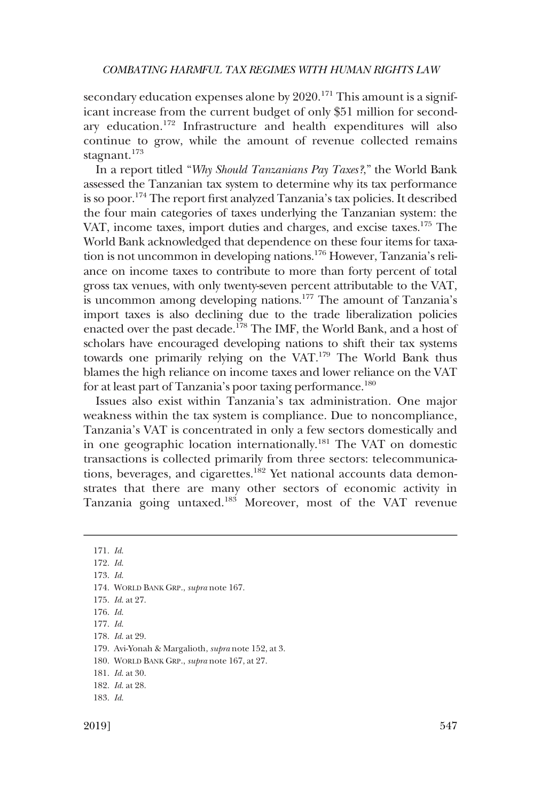secondary education expenses alone by  $2020$ .<sup>171</sup> This amount is a significant increase from the current budget of only \$51 million for secondary education.172 Infrastructure and health expenditures will also continue to grow, while the amount of revenue collected remains stagnant.<sup>173</sup>

In a report titled "*Why Should Tanzanians Pay Taxes?*," the World Bank assessed the Tanzanian tax system to determine why its tax performance is so poor.<sup>174</sup> The report first analyzed Tanzania's tax policies. It described the four main categories of taxes underlying the Tanzanian system: the VAT, income taxes, import duties and charges, and excise taxes.<sup>175</sup> The World Bank acknowledged that dependence on these four items for taxation is not uncommon in developing nations.176 However, Tanzania's reliance on income taxes to contribute to more than forty percent of total gross tax venues, with only twenty-seven percent attributable to the VAT, is uncommon among developing nations.<sup>177</sup> The amount of Tanzania's import taxes is also declining due to the trade liberalization policies enacted over the past decade.<sup>178</sup> The IMF, the World Bank, and a host of scholars have encouraged developing nations to shift their tax systems towards one primarily relying on the VAT.179 The World Bank thus blames the high reliance on income taxes and lower reliance on the VAT for at least part of Tanzania's poor taxing performance.<sup>180</sup>

Issues also exist within Tanzania's tax administration. One major weakness within the tax system is compliance. Due to noncompliance, Tanzania's VAT is concentrated in only a few sectors domestically and in one geographic location internationally.<sup>181</sup> The VAT on domestic transactions is collected primarily from three sectors: telecommunications, beverages, and cigarettes.<sup>182</sup> Yet national accounts data demonstrates that there are many other sectors of economic activity in Tanzania going untaxed.183 Moreover, most of the VAT revenue

<sup>171.</sup> *Id*.

<sup>172.</sup> *Id*.

<sup>173.</sup> *Id*.

<sup>174.</sup> WORLD BANK GRP., *supra* note 167.

<sup>175.</sup> *Id*. at 27.

<sup>176.</sup> *Id*.

<sup>177.</sup> *Id*.

<sup>178.</sup> *Id*. at 29.

<sup>179.</sup> Avi-Yonah & Margalioth, *supra* note 152, at 3.

<sup>180.</sup> WORLD BANK GRP., *supra* note 167, at 27.

<sup>181.</sup> *Id*. at 30.

<sup>182.</sup> *Id*. at 28.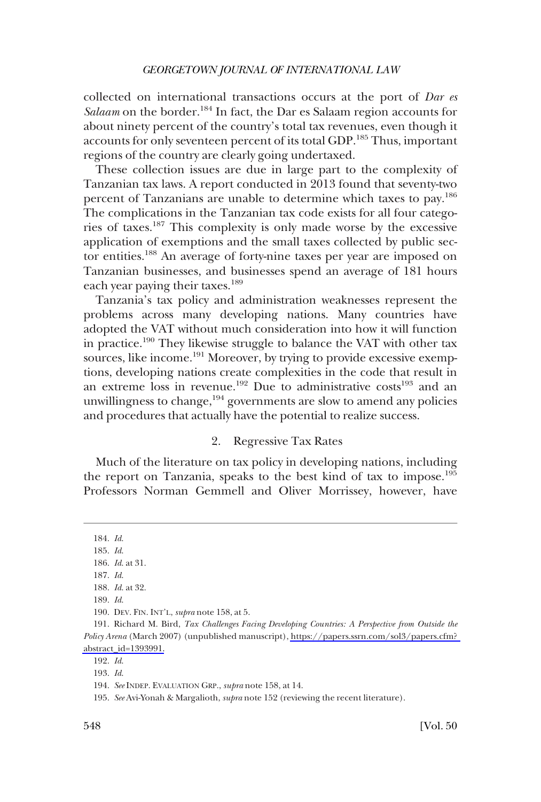<span id="page-31-0"></span>collected on international transactions occurs at the port of *Dar es*  Salaam on the border.<sup>184</sup> In fact, the Dar es Salaam region accounts for about ninety percent of the country's total tax revenues, even though it accounts for only seventeen percent of its total GDP.185 Thus, important regions of the country are clearly going undertaxed.

These collection issues are due in large part to the complexity of Tanzanian tax laws. A report conducted in 2013 found that seventy-two percent of Tanzanians are unable to determine which taxes to pay.<sup>186</sup> The complications in the Tanzanian tax code exists for all four categories of taxes.187 This complexity is only made worse by the excessive application of exemptions and the small taxes collected by public sector entities.188 An average of forty-nine taxes per year are imposed on Tanzanian businesses, and businesses spend an average of 181 hours each year paying their taxes.<sup>189</sup>

Tanzania's tax policy and administration weaknesses represent the problems across many developing nations. Many countries have adopted the VAT without much consideration into how it will function in practice.190 They likewise struggle to balance the VAT with other tax sources, like income.<sup>191</sup> Moreover, by trying to provide excessive exemptions, developing nations create complexities in the code that result in an extreme loss in revenue.<sup>192</sup> Due to administrative costs<sup>193</sup> and an unwillingness to change, $194$  governments are slow to amend any policies and procedures that actually have the potential to realize success.

# 2. Regressive Tax Rates

Much of the literature on tax policy in developing nations, including the report on Tanzania, speaks to the best kind of tax to impose.<sup>195</sup> Professors Norman Gemmell and Oliver Morrissey, however, have

<sup>184.</sup> *Id*. 185. *Id*. 186. *Id*. at 31. 187. *Id*. 188. *Id*. at 32. 189. *Id*. 190. DEV. FIN. INT'L, *supra* note 158, at 5.

<sup>191.</sup> Richard M. Bird, *Tax Challenges Facing Developing Countries: A Perspective from Outside the Policy Arena* (March 2007) (unpublished manuscript), [https://papers.ssrn.com/sol3/papers.cfm?](https://papers.ssrn.com/sol3/papers.cfm?abstract_id=1393991)  [abstract\\_id=1393991.](https://papers.ssrn.com/sol3/papers.cfm?abstract_id=1393991)

<sup>193.</sup> *Id*.

<sup>194.</sup> *See* INDEP. EVALUATION GRP., *supra* note 158, at 14.

<sup>195.</sup> *See* Avi-Yonah & Margalioth, *supra* note 152 (reviewing the recent literature).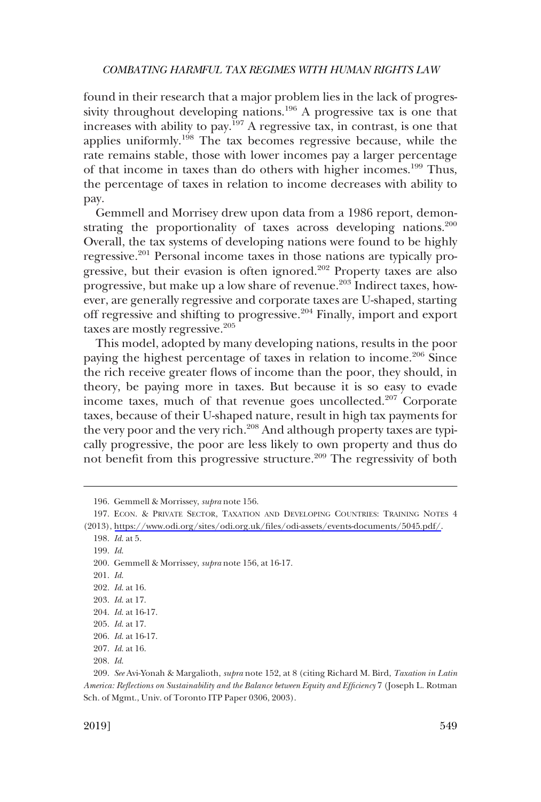found in their research that a major problem lies in the lack of progressivity throughout developing nations.<sup>196</sup> A progressive tax is one that increases with ability to pay.<sup>197</sup> A regressive tax, in contrast, is one that applies uniformly.198 The tax becomes regressive because, while the rate remains stable, those with lower incomes pay a larger percentage of that income in taxes than do others with higher incomes.199 Thus, the percentage of taxes in relation to income decreases with ability to pay.

Gemmell and Morrisey drew upon data from a 1986 report, demonstrating the proportionality of taxes across developing nations.<sup>200</sup> Overall, the tax systems of developing nations were found to be highly regressive.201 Personal income taxes in those nations are typically progressive, but their evasion is often ignored.<sup>202</sup> Property taxes are also progressive, but make up a low share of revenue.203 Indirect taxes, however, are generally regressive and corporate taxes are U-shaped, starting off regressive and shifting to progressive. $204$  Finally, import and export taxes are mostly regressive.<sup>205</sup>

This model, adopted by many developing nations, results in the poor paying the highest percentage of taxes in relation to income.<sup>206</sup> Since the rich receive greater flows of income than the poor, they should, in theory, be paying more in taxes. But because it is so easy to evade income taxes, much of that revenue goes uncollected.207 Corporate taxes, because of their U-shaped nature, result in high tax payments for the very poor and the very rich.<sup>208</sup> And although property taxes are typically progressive, the poor are less likely to own property and thus do not benefit from this progressive structure.<sup>209</sup> The regressivity of both

199. *Id*.

200. Gemmell & Morrissey, *supra* note 156, at 16-17.

201. *Id*.

202. *Id*. at 16.

<sup>196.</sup> Gemmell & Morrissey, *supra* note 156.

<sup>197.</sup> ECON. & PRIVATE SECTOR, TAXATION AND DEVELOPING COUNTRIES: TRAINING NOTES 4 (2013), <https://www.odi.org/sites/odi.org.uk/files/odi-assets/events-documents/5045.pdf/>.

<sup>198.</sup> *Id*. at 5.

<sup>203.</sup> *Id*. at 17.

<sup>204.</sup> *Id*. at 16-17.

<sup>205.</sup> *Id*. at 17. 206. *Id*. at 16-17.

<sup>207.</sup> *Id*. at 16.

<sup>209.</sup> *See* Avi-Yonah & Margalioth, *supra* note 152, at 8 (citing Richard M. Bird, *Taxation in Latin America: Reflections on Sustainability and the Balance between Equity and Efficiency* 7 (Joseph L. Rotman Sch. of Mgmt., Univ. of Toronto ITP Paper 0306, 2003).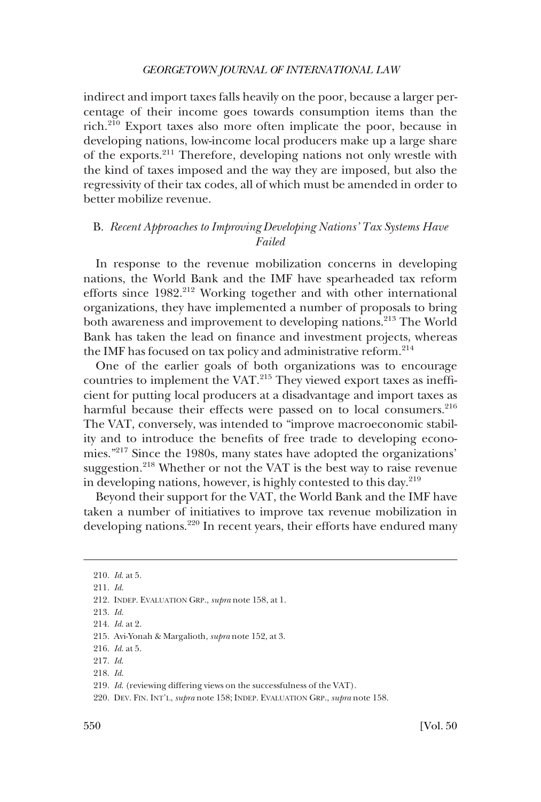<span id="page-33-0"></span>indirect and import taxes falls heavily on the poor, because a larger percentage of their income goes towards consumption items than the rich.210 Export taxes also more often implicate the poor, because in developing nations, low-income local producers make up a large share of the exports.211 Therefore, developing nations not only wrestle with the kind of taxes imposed and the way they are imposed, but also the regressivity of their tax codes, all of which must be amended in order to better mobilize revenue.

# B. *Recent Approaches to Improving Developing Nations' Tax Systems Have Failed*

In response to the revenue mobilization concerns in developing nations, the World Bank and the IMF have spearheaded tax reform efforts since 1982.<sup>212</sup> Working together and with other international organizations, they have implemented a number of proposals to bring both awareness and improvement to developing nations.<sup>213</sup> The World Bank has taken the lead on finance and investment projects, whereas the IMF has focused on tax policy and administrative reform.<sup>214</sup>

One of the earlier goals of both organizations was to encourage countries to implement the VAT.215 They viewed export taxes as inefficient for putting local producers at a disadvantage and import taxes as harmful because their effects were passed on to local consumers.<sup>216</sup> The VAT, conversely, was intended to "improve macroeconomic stability and to introduce the benefits of free trade to developing economies."217 Since the 1980s, many states have adopted the organizations' suggestion.<sup>218</sup> Whether or not the VAT is the best way to raise revenue in developing nations, however, is highly contested to this day.219

Beyond their support for the VAT, the World Bank and the IMF have taken a number of initiatives to improve tax revenue mobilization in developing nations.<sup>220</sup> In recent years, their efforts have endured many

<sup>210.</sup> *Id*. at 5.

<sup>211.</sup> *Id*.

<sup>212.</sup> INDEP. EVALUATION GRP., *supra* note 158, at 1.

<sup>213.</sup> *Id*.

<sup>214.</sup> *Id*. at 2.

<sup>215.</sup> Avi-Yonah & Margalioth, *supra* note 152, at 3.

<sup>216.</sup> *Id*. at 5.

<sup>217.</sup> *Id*.

<sup>218.</sup> *Id*.

<sup>219.</sup> *Id*. (reviewing differing views on the successfulness of the VAT).

<sup>220.</sup> DEV. FIN. INT'L, *supra* note 158; INDEP. EVALUATION GRP., *supra* note 158.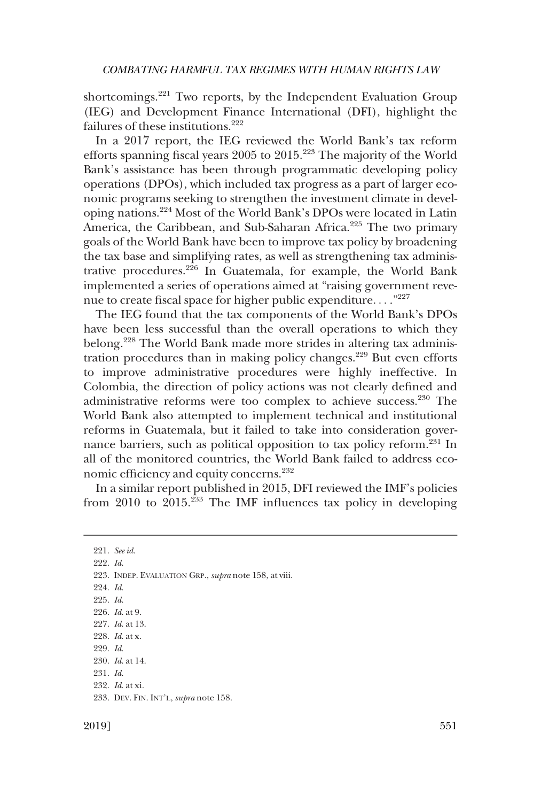shortcomings.<sup>221</sup> Two reports, by the Independent Evaluation Group (IEG) and Development Finance International (DFI), highlight the failures of these institutions.<sup>222</sup>

In a 2017 report, the IEG reviewed the World Bank's tax reform efforts spanning fiscal years 2005 to 2015.223 The majority of the World Bank's assistance has been through programmatic developing policy operations (DPOs), which included tax progress as a part of larger economic programs seeking to strengthen the investment climate in developing nations.224 Most of the World Bank's DPOs were located in Latin America, the Caribbean, and Sub-Saharan Africa.<sup>225</sup> The two primary goals of the World Bank have been to improve tax policy by broadening the tax base and simplifying rates, as well as strengthening tax administrative procedures.226 In Guatemala, for example, the World Bank implemented a series of operations aimed at "raising government revenue to create fiscal space for higher public expenditure. . . ."227

The IEG found that the tax components of the World Bank's DPOs have been less successful than the overall operations to which they belong.228 The World Bank made more strides in altering tax administration procedures than in making policy changes.<sup>229</sup> But even efforts to improve administrative procedures were highly ineffective. In Colombia, the direction of policy actions was not clearly defined and administrative reforms were too complex to achieve success.230 The World Bank also attempted to implement technical and institutional reforms in Guatemala, but it failed to take into consideration governance barriers, such as political opposition to tax policy reform.231 In all of the monitored countries, the World Bank failed to address economic efficiency and equity concerns.<sup>232</sup>

In a similar report published in 2015, DFI reviewed the IMF's policies from 2010 to  $2015.^{233}$  The IMF influences tax policy in developing

221. *See id*. 222. *Id*. 223. INDEP. EVALUATION GRP., *supra* note 158, at viii. 224. *Id*. 225. *Id*. 226. *Id*. at 9. 227. *Id*. at 13. 228. *Id*. at x. 229. *Id*. 230. *Id*. at 14. 231. *Id*. 232. *Id*. at xi. 233. DEV. FIN. INT'L, *supra* note 158.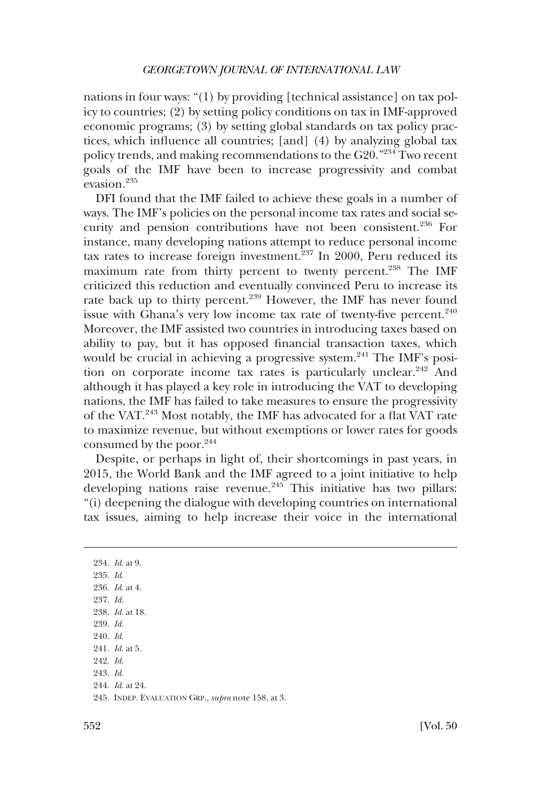nations in four ways: "(1) by providing [technical assistance] on tax policy to countries; (2) by setting policy conditions on tax in IMF-approved economic programs; (3) by setting global standards on tax policy practices, which influence all countries; [and] (4) by analyzing global tax policy trends, and making recommendations to the G20."234 Two recent goals of the IMF have been to increase progressivity and combat evasion.235

DFI found that the IMF failed to achieve these goals in a number of ways. The IMF's policies on the personal income tax rates and social security and pension contributions have not been consistent.236 For instance, many developing nations attempt to reduce personal income tax rates to increase foreign investment.<sup>237</sup> In 2000, Peru reduced its maximum rate from thirty percent to twenty percent.<sup>238</sup> The IMF criticized this reduction and eventually convinced Peru to increase its rate back up to thirty percent.<sup>239</sup> However, the IMF has never found issue with Ghana's very low income tax rate of twenty-five percent. $240$ Moreover, the IMF assisted two countries in introducing taxes based on ability to pay, but it has opposed financial transaction taxes, which would be crucial in achieving a progressive system. $^{241}$  The IMF's position on corporate income tax rates is particularly unclear.<sup>242</sup> And although it has played a key role in introducing the VAT to developing nations, the IMF has failed to take measures to ensure the progressivity of the VAT.243 Most notably, the IMF has advocated for a flat VAT rate to maximize revenue, but without exemptions or lower rates for goods consumed by the poor.<sup>244</sup>

Despite, or perhaps in light of, their shortcomings in past years, in 2015, the World Bank and the IMF agreed to a joint initiative to help developing nations raise revenue.<sup>245</sup> This initiative has two pillars: "(i) deepening the dialogue with developing countries on international tax issues, aiming to help increase their voice in the international

234. *Id*. at 9. 235. *Id*. 236. *Id*. at 4. 237. *Id*. 238. *Id*. at 18. 239. *Id*. 240. *Id*. 241. *Id*. at 5. 242. *Id*. 243. *Id*. 244. *Id*. at 24. 245. INDEP. EVALUATION GRP., *supra* note 158, at 3.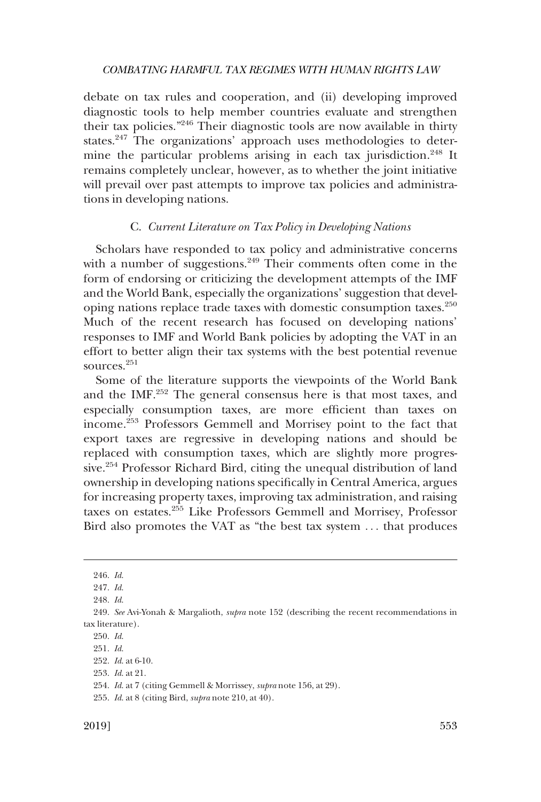<span id="page-36-0"></span>debate on tax rules and cooperation, and (ii) developing improved diagnostic tools to help member countries evaluate and strengthen their tax policies."246 Their diagnostic tools are now available in thirty states.<sup>247</sup> The organizations' approach uses methodologies to determine the particular problems arising in each tax jurisdiction.<sup>248</sup> It remains completely unclear, however, as to whether the joint initiative will prevail over past attempts to improve tax policies and administrations in developing nations.

# C. *Current Literature on Tax Policy in Developing Nations*

Scholars have responded to tax policy and administrative concerns with a number of suggestions. $249$  Their comments often come in the form of endorsing or criticizing the development attempts of the IMF and the World Bank, especially the organizations' suggestion that developing nations replace trade taxes with domestic consumption taxes.<sup>250</sup> Much of the recent research has focused on developing nations' responses to IMF and World Bank policies by adopting the VAT in an effort to better align their tax systems with the best potential revenue sources.<sup>251</sup>

Some of the literature supports the viewpoints of the World Bank and the IMF.252 The general consensus here is that most taxes, and especially consumption taxes, are more efficient than taxes on income.253 Professors Gemmell and Morrisey point to the fact that export taxes are regressive in developing nations and should be replaced with consumption taxes, which are slightly more progressive.<sup>254</sup> Professor Richard Bird, citing the unequal distribution of land ownership in developing nations specifically in Central America, argues for increasing property taxes, improving tax administration, and raising taxes on estates.255 Like Professors Gemmell and Morrisey, Professor Bird also promotes the VAT as "the best tax system . . . that produces

<sup>246.</sup> *Id*.

<sup>247.</sup> *Id*.

<sup>248.</sup> *Id*.

<sup>249.</sup> *See* Avi-Yonah & Margalioth, *supra* note 152 (describing the recent recommendations in tax literature).

<sup>250.</sup> *Id*.

<sup>251.</sup> *Id*.

<sup>252.</sup> *Id*. at 6-10.

<sup>253.</sup> *Id*. at 21.

<sup>254.</sup> *Id*. at 7 (citing Gemmell & Morrissey, *supra* note 156, at 29).

<sup>255.</sup> *Id*. at 8 (citing Bird, *supra* note 210, at 40).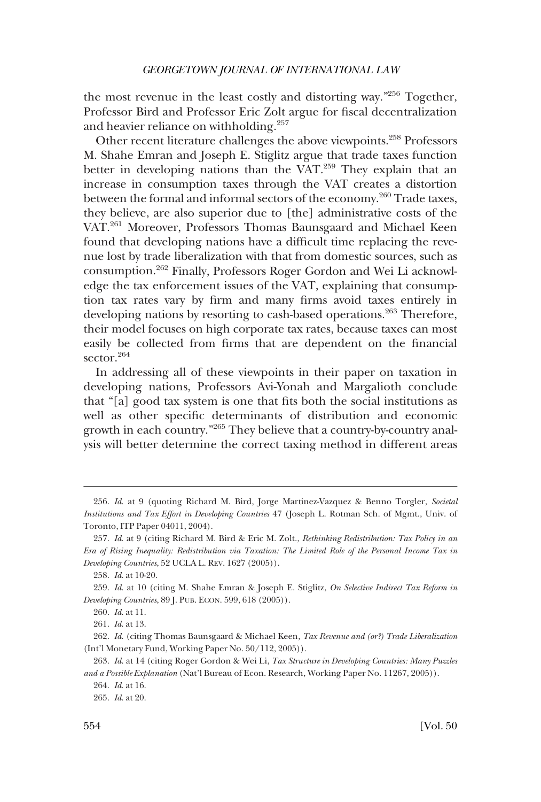the most revenue in the least costly and distorting way."256 Together, Professor Bird and Professor Eric Zolt argue for fiscal decentralization and heavier reliance on withholding.<sup>257</sup>

Other recent literature challenges the above viewpoints.258 Professors M. Shahe Emran and Joseph E. Stiglitz argue that trade taxes function better in developing nations than the VAT.<sup>259</sup> They explain that an increase in consumption taxes through the VAT creates a distortion between the formal and informal sectors of the economy.<sup>260</sup> Trade taxes, they believe, are also superior due to [the] administrative costs of the VAT.<sup>261</sup> Moreover, Professors Thomas Baunsgaard and Michael Keen found that developing nations have a difficult time replacing the revenue lost by trade liberalization with that from domestic sources, such as consumption.262 Finally, Professors Roger Gordon and Wei Li acknowledge the tax enforcement issues of the VAT, explaining that consumption tax rates vary by firm and many firms avoid taxes entirely in developing nations by resorting to cash-based operations.<sup>263</sup> Therefore, their model focuses on high corporate tax rates, because taxes can most easily be collected from firms that are dependent on the financial sector.<sup>264</sup>

In addressing all of these viewpoints in their paper on taxation in developing nations, Professors Avi-Yonah and Margalioth conclude that "[a] good tax system is one that fits both the social institutions as well as other specific determinants of distribution and economic growth in each country."265 They believe that a country-by-country analysis will better determine the correct taxing method in different areas

<sup>256.</sup> *Id*. at 9 (quoting Richard M. Bird, Jorge Martinez-Vazquez & Benno Torgler, *Societal Institutions and Tax Effort in Developing Countries* 47 (Joseph L. Rotman Sch. of Mgmt., Univ. of Toronto, ITP Paper 04011, 2004).

<sup>257.</sup> *Id*. at 9 (citing Richard M. Bird & Eric M. Zolt., *Rethinking Redistribution: Tax Policy in an Era of Rising Inequality: Redistribution via Taxation: The Limited Role of the Personal Income Tax in Developing Countries*, 52 UCLA L. REV. 1627 (2005)).

<sup>258.</sup> *Id*. at 10-20.

<sup>259.</sup> *Id*. at 10 (citing M. Shahe Emran & Joseph E. Stiglitz, *On Selective Indirect Tax Reform in Developing Countries*, 89 J. PUB. ECON. 599, 618 (2005)).

<sup>260.</sup> *Id*. at 11.

<sup>261.</sup> *Id*. at 13.

<sup>262.</sup> *Id*. (citing Thomas Baunsgaard & Michael Keen*, Tax Revenue and (or?) Trade Liberalization*  (Int'l Monetary Fund, Working Paper No. 50/112, 2005)).

<sup>263.</sup> *Id*. at 14 (citing Roger Gordon & Wei Li, *Tax Structure in Developing Countries: Many Puzzles and a Possible Explanation* (Nat'l Bureau of Econ. Research, Working Paper No. 11267, 2005)).

<sup>264.</sup> *Id*. at 16.

<sup>265.</sup> *Id*. at 20.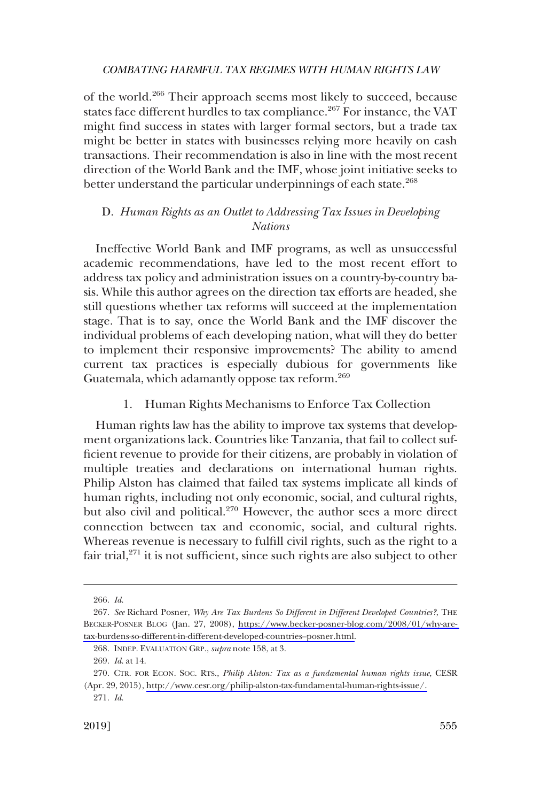<span id="page-38-0"></span>of the world.266 Their approach seems most likely to succeed, because states face different hurdles to tax compliance.<sup>267</sup> For instance, the VAT might find success in states with larger formal sectors, but a trade tax might be better in states with businesses relying more heavily on cash transactions. Their recommendation is also in line with the most recent direction of the World Bank and the IMF, whose joint initiative seeks to better understand the particular underpinnings of each state.<sup>268</sup>

# D. *Human Rights as an Outlet to Addressing Tax Issues in Developing Nations*

Ineffective World Bank and IMF programs, as well as unsuccessful academic recommendations, have led to the most recent effort to address tax policy and administration issues on a country-by-country basis. While this author agrees on the direction tax efforts are headed, she still questions whether tax reforms will succeed at the implementation stage. That is to say, once the World Bank and the IMF discover the individual problems of each developing nation, what will they do better to implement their responsive improvements? The ability to amend current tax practices is especially dubious for governments like Guatemala, which adamantly oppose tax reform.269

# 1. Human Rights Mechanisms to Enforce Tax Collection

Human rights law has the ability to improve tax systems that development organizations lack. Countries like Tanzania, that fail to collect sufficient revenue to provide for their citizens, are probably in violation of multiple treaties and declarations on international human rights. Philip Alston has claimed that failed tax systems implicate all kinds of human rights, including not only economic, social, and cultural rights, but also civil and political.<sup>270</sup> However, the author sees a more direct connection between tax and economic, social, and cultural rights. Whereas revenue is necessary to fulfill civil rights, such as the right to a fair trial, $271$  it is not sufficient, since such rights are also subject to other

<sup>266.</sup> *Id*.

*See* Richard Posner, *Why Are Tax Burdens So Different in Different Developed Countries?*, THE 267. BECKER-POSNER BLOG (Jan. 27, 2008), [https://www.becker-posner-blog.com/2008/01/why-are](https://www.becker-posner-blog.com/2008/01/why-are-tax-burdens-so-different-in-different-developed-countries--posner.html)[tax-burdens-so-different-in-different-developed-countries–posner.html.](https://www.becker-posner-blog.com/2008/01/why-are-tax-burdens-so-different-in-different-developed-countries--posner.html)

<sup>268.</sup> INDEP. EVALUATION GRP., *supra* note 158, at 3.

<sup>269.</sup> *Id*. at 14.

<sup>270.</sup> CTR. FOR ECON. SOC. RTS., *Philip Alston: Tax as a fundamental human rights issue*, CESR (Apr. 29, 2015), [http://www.cesr.org/philip-alston-tax-fundamental-human-rights-issue/.](http://www.cesr.org/philip-alston-tax-fundamental-human-rights-issue/)

<sup>271.</sup> *Id*.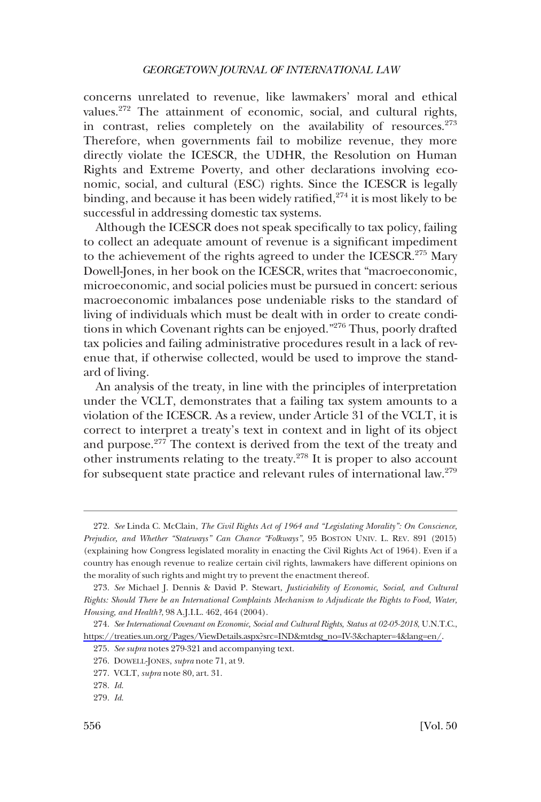concerns unrelated to revenue, like lawmakers' moral and ethical values.<sup>272</sup> The attainment of economic, social, and cultural rights, in contrast, relies completely on the availability of resources.<sup>273</sup> Therefore, when governments fail to mobilize revenue, they more directly violate the ICESCR, the UDHR, the Resolution on Human Rights and Extreme Poverty, and other declarations involving economic, social, and cultural (ESC) rights. Since the ICESCR is legally binding, and because it has been widely ratified, $2^{74}$  it is most likely to be successful in addressing domestic tax systems.

Although the ICESCR does not speak specifically to tax policy, failing to collect an adequate amount of revenue is a significant impediment to the achievement of the rights agreed to under the ICESCR.<sup>275</sup> Mary Dowell-Jones, in her book on the ICESCR, writes that "macroeconomic, microeconomic, and social policies must be pursued in concert: serious macroeconomic imbalances pose undeniable risks to the standard of living of individuals which must be dealt with in order to create conditions in which Covenant rights can be enjoyed."276 Thus, poorly drafted tax policies and failing administrative procedures result in a lack of revenue that, if otherwise collected, would be used to improve the standard of living.

An analysis of the treaty, in line with the principles of interpretation under the VCLT, demonstrates that a failing tax system amounts to a violation of the ICESCR. As a review, under Article 31 of the VCLT, it is correct to interpret a treaty's text in context and in light of its object and purpose.277 The context is derived from the text of the treaty and other instruments relating to the treaty.278 It is proper to also account for subsequent state practice and relevant rules of international law.279

<sup>272.</sup> *See* Linda C. McClain, *The Civil Rights Act of 1964 and "Legislating Morality": On Conscience, Prejudice, and Whether "Stateways" Can Chance "Folkways"*, 95 BOSTON UNIV. L. REV. 891 (2015) (explaining how Congress legislated morality in enacting the Civil Rights Act of 1964). Even if a country has enough revenue to realize certain civil rights, lawmakers have different opinions on the morality of such rights and might try to prevent the enactment thereof.

<sup>273.</sup> *See* Michael J. Dennis & David P. Stewart, *Justiciability of Economic, Social, and Cultural Rights: Should There be an International Complaints Mechanism to Adjudicate the Rights to Food, Water, Housing, and Health?*, 98 A.J.I.L. 462, 464 (2004).

*See International Covenant on Economic, Social and Cultural Rights, Status at 02-05-2018*, U.N.T.C., 274. [https://treaties.un.org/Pages/ViewDetails.aspx?src=IND&mtdsg\\_no=IV-3&chapter=4&lang=en/](https://treaties.un.org/Pages/ViewDetails.aspx?src=IND&mtdsg_no=IV-3&chapter=4&lang=en/).

<sup>275.</sup> *See supra* notes 279-321 and accompanying text.

<sup>276.</sup> DOWELL-JONES, *supra* note 71, at 9.

<sup>277.</sup> VCLT, *supra* note 80, art. 31.

<sup>278.</sup> *Id*.

<sup>279.</sup> *Id*.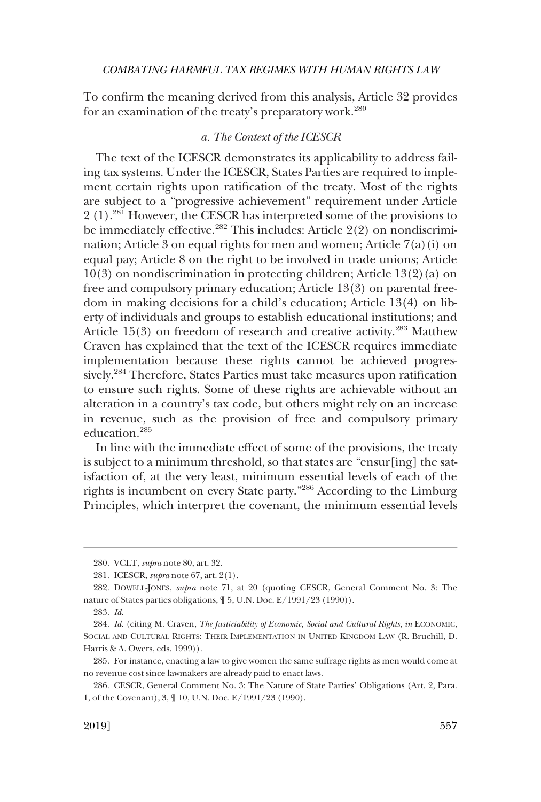<span id="page-40-0"></span>To confirm the meaning derived from this analysis, Article 32 provides for an examination of the treaty's preparatory work.<sup>280</sup>

# *a. The Context of the ICESCR*

The text of the ICESCR demonstrates its applicability to address failing tax systems. Under the ICESCR, States Parties are required to implement certain rights upon ratification of the treaty. Most of the rights are subject to a "progressive achievement" requirement under Article 2 (1).281 However, the CESCR has interpreted some of the provisions to be immediately effective.<sup>282</sup> This includes: Article  $2(2)$  on nondiscrimination; Article 3 on equal rights for men and women; Article 7(a)(i) on equal pay; Article 8 on the right to be involved in trade unions; Article 10(3) on nondiscrimination in protecting children; Article 13(2)(a) on free and compulsory primary education; Article 13(3) on parental freedom in making decisions for a child's education; Article 13(4) on liberty of individuals and groups to establish educational institutions; and Article  $15(3)$  on freedom of research and creative activity.<sup>283</sup> Matthew Craven has explained that the text of the ICESCR requires immediate implementation because these rights cannot be achieved progressively.284 Therefore, States Parties must take measures upon ratification to ensure such rights. Some of these rights are achievable without an alteration in a country's tax code, but others might rely on an increase in revenue, such as the provision of free and compulsory primary education.285

In line with the immediate effect of some of the provisions, the treaty is subject to a minimum threshold, so that states are "ensur[ing] the satisfaction of, at the very least, minimum essential levels of each of the rights is incumbent on every State party."286 According to the Limburg Principles, which interpret the covenant, the minimum essential levels

<sup>280.</sup> VCLT*, supra* note 80, art. 32.

<sup>281.</sup> ICESCR, *supra* note 67, art. 2(1).

<sup>282.</sup> DOWELL-JONES, *supra* note 71, at 20 (quoting CESCR, General Comment No. 3: The nature of States parties obligations, ¶ 5, U.N. Doc. E/1991/23 (1990)).

<sup>283.</sup> *Id*.

<sup>284.</sup> *Id*. (citing M. Craven, *The Justiciability of Economic, Social and Cultural Rights*, *in* ECONOMIC, SOCIAL AND CULTURAL RIGHTS: THEIR IMPLEMENTATION IN UNITED KINGDOM LAW (R. Bruchill, D. Harris & A. Owers, eds. 1999)).

<sup>285.</sup> For instance, enacting a law to give women the same suffrage rights as men would come at no revenue cost since lawmakers are already paid to enact laws.

<sup>286.</sup> CESCR, General Comment No. 3: The Nature of State Parties' Obligations (Art. 2, Para. 1, of the Covenant), 3, ¶ 10, U.N. Doc. E/1991/23 (1990).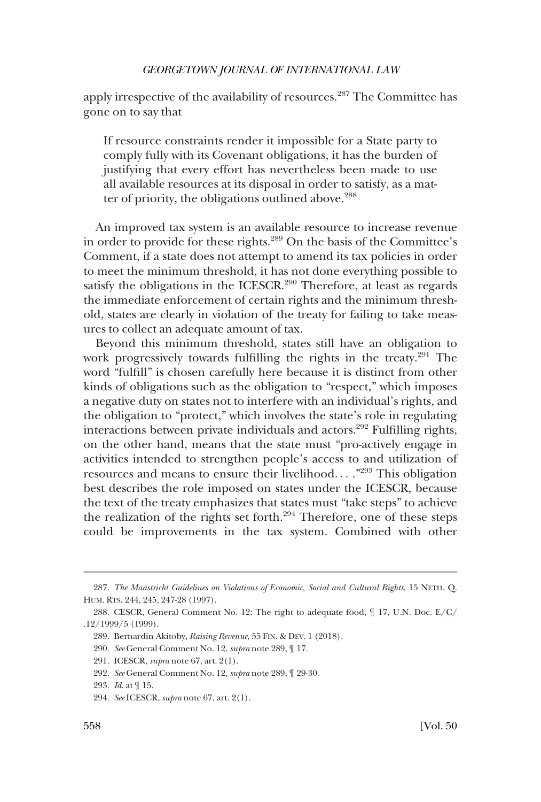apply irrespective of the availability of resources.<sup>287</sup> The Committee has gone on to say that

If resource constraints render it impossible for a State party to comply fully with its Covenant obligations, it has the burden of justifying that every effort has nevertheless been made to use all available resources at its disposal in order to satisfy, as a matter of priority, the obligations outlined above.<sup>288</sup>

An improved tax system is an available resource to increase revenue in order to provide for these rights.<sup>289</sup> On the basis of the Committee's Comment, if a state does not attempt to amend its tax policies in order to meet the minimum threshold, it has not done everything possible to satisfy the obligations in the ICESCR. $290$  Therefore, at least as regards the immediate enforcement of certain rights and the minimum threshold, states are clearly in violation of the treaty for failing to take measures to collect an adequate amount of tax.

Beyond this minimum threshold, states still have an obligation to work progressively towards fulfilling the rights in the treaty.291 The word "fulfill" is chosen carefully here because it is distinct from other kinds of obligations such as the obligation to "respect," which imposes a negative duty on states not to interfere with an individual's rights, and the obligation to "protect," which involves the state's role in regulating interactions between private individuals and actors.292 Fulfilling rights, on the other hand, means that the state must "pro-actively engage in activities intended to strengthen people's access to and utilization of resources and means to ensure their livelihood. . . ."293 This obligation best describes the role imposed on states under the ICESCR, because the text of the treaty emphasizes that states must "take steps" to achieve the realization of the rights set forth.<sup>294</sup> Therefore, one of these steps could be improvements in the tax system. Combined with other

<sup>287.</sup> *The Maastricht Guidelines on Violations of Economic, Social and Cultural Rights*, 15 NETH. Q. HUM. RTS. 244, 245, 247-28 (1997).

<sup>288.</sup> CESCR, General Comment No. 12: The right to adequate food, ¶ 17, U.N. Doc. E/C/ .12/1999/5 (1999).

<sup>289.</sup> Bernardin Akitoby, *Raising Revenue*, 55 FIN. & DEV. 1 (2018).

<sup>290.</sup> *See* General Comment No. 12, *supra* note 289, ¶ 17.

<sup>291.</sup> ICESCR, *supra* note 67, art. 2(1).

<sup>292.</sup> *See* General Comment No. 12, *supra* note 289, ¶ 29-30.

<sup>293.</sup> *Id*. at ¶ 15.

<sup>294.</sup> *See* ICESCR, *supra* note 67, art. 2(1).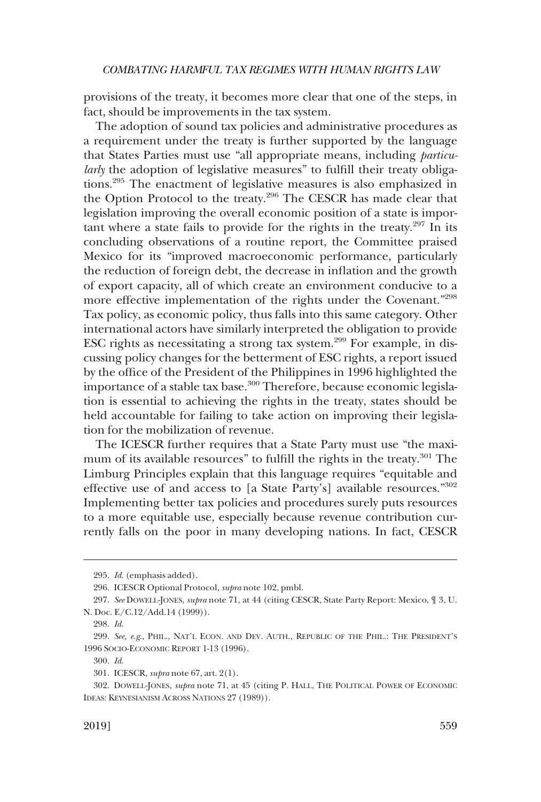provisions of the treaty, it becomes more clear that one of the steps, in fact, should be improvements in the tax system.

The adoption of sound tax policies and administrative procedures as a requirement under the treaty is further supported by the language that States Parties must use "all appropriate means, including *particularly* the adoption of legislative measures" to fulfill their treaty obligations.295 The enactment of legislative measures is also emphasized in the Option Protocol to the treaty.296 The CESCR has made clear that legislation improving the overall economic position of a state is important where a state fails to provide for the rights in the treaty.297 In its concluding observations of a routine report, the Committee praised Mexico for its "improved macroeconomic performance, particularly the reduction of foreign debt, the decrease in inflation and the growth of export capacity, all of which create an environment conducive to a more effective implementation of the rights under the Covenant."298 Tax policy, as economic policy, thus falls into this same category. Other international actors have similarly interpreted the obligation to provide ESC rights as necessitating a strong tax system.299 For example, in discussing policy changes for the betterment of ESC rights, a report issued by the office of the President of the Philippines in 1996 highlighted the importance of a stable tax base.<sup>300</sup> Therefore, because economic legislation is essential to achieving the rights in the treaty, states should be held accountable for failing to take action on improving their legislation for the mobilization of revenue.

The ICESCR further requires that a State Party must use "the maximum of its available resources" to fulfill the rights in the treaty.<sup>301</sup> The Limburg Principles explain that this language requires "equitable and effective use of and access to [a State Party's] available resources."302 Implementing better tax policies and procedures surely puts resources to a more equitable use, especially because revenue contribution currently falls on the poor in many developing nations. In fact, CESCR

<sup>295.</sup> *Id*. (emphasis added).

<sup>296.</sup> ICESCR Optional Protocol, *supra* note 102, pmbl.

<sup>297.</sup> *See* DOWELL-JONES, *supra* note 71, at 44 (citing CESCR, State Party Report: Mexico, ¶ 3, U. N. Doc. E/C.12/Add.14 (1999)).

<sup>298.</sup> *Id*.

<sup>299.</sup> *See, e.g*., PHIL., NAT'L ECON. AND DEV. AUTH., REPUBLIC OF THE PHIL.: THE PRESIDENT'S 1996 SOCIO-ECONOMIC REPORT 1-13 (1996).

<sup>300.</sup> *Id*.

<sup>301.</sup> ICESCR, *supra* note 67, art. 2(1).

<sup>302.</sup> DOWELL-JONES, *supra* note 71, at 45 (citing P. HALL, THE POLITICAL POWER OF ECONOMIC IDEAS: KEYNESIANISM ACROSS NATIONS 27 (1989)).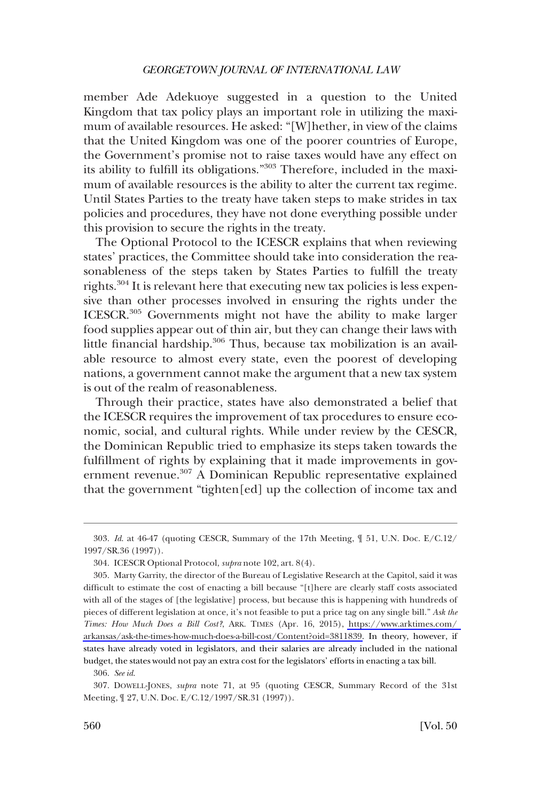member Ade Adekuoye suggested in a question to the United Kingdom that tax policy plays an important role in utilizing the maximum of available resources. He asked: "[W]hether, in view of the claims that the United Kingdom was one of the poorer countries of Europe, the Government's promise not to raise taxes would have any effect on its ability to fulfill its obligations."303 Therefore, included in the maximum of available resources is the ability to alter the current tax regime. Until States Parties to the treaty have taken steps to make strides in tax policies and procedures, they have not done everything possible under this provision to secure the rights in the treaty.

The Optional Protocol to the ICESCR explains that when reviewing states' practices, the Committee should take into consideration the reasonableness of the steps taken by States Parties to fulfill the treaty rights.304 It is relevant here that executing new tax policies is less expensive than other processes involved in ensuring the rights under the ICESCR.305 Governments might not have the ability to make larger food supplies appear out of thin air, but they can change their laws with little financial hardship.306 Thus, because tax mobilization is an available resource to almost every state, even the poorest of developing nations, a government cannot make the argument that a new tax system is out of the realm of reasonableness.

Through their practice, states have also demonstrated a belief that the ICESCR requires the improvement of tax procedures to ensure economic, social, and cultural rights. While under review by the CESCR, the Dominican Republic tried to emphasize its steps taken towards the fulfillment of rights by explaining that it made improvements in government revenue.307 A Dominican Republic representative explained that the government "tighten[ed] up the collection of income tax and

<sup>303.</sup> *Id*. at 46-47 (quoting CESCR, Summary of the 17th Meeting, ¶ 51, U.N. Doc. E/C.12/ 1997/SR.36 (1997)).

<sup>304.</sup> ICESCR Optional Protocol, *supra* note 102, art. 8(4).

<sup>305.</sup> Marty Garrity, the director of the Bureau of Legislative Research at the Capitol, said it was difficult to estimate the cost of enacting a bill because "[t]here are clearly staff costs associated with all of the stages of [the legislative] process, but because this is happening with hundreds of pieces of different legislation at once, it's not feasible to put a price tag on any single bill." *Ask the Times: How Much Does a Bill Cost?*, ARK. TIMES (Apr. 16, 2015), [https://www.arktimes.com/](https://www.arktimes.com/arkansas/ask-the-times-how-much-does-a-bill-cost/Content?oid=3811839)  [arkansas/ask-the-times-how-much-does-a-bill-cost/Content?oid=3811839.](https://www.arktimes.com/arkansas/ask-the-times-how-much-does-a-bill-cost/Content?oid=3811839) In theory, however, if states have already voted in legislators, and their salaries are already included in the national budget, the states would not pay an extra cost for the legislators' efforts in enacting a tax bill.

<sup>306.</sup> *See id*.

<sup>307.</sup> DOWELL-JONES, *supra* note 71, at 95 (quoting CESCR, Summary Record of the 31st Meeting, ¶ 27, U.N. Doc. E/C.12/1997/SR.31 (1997)).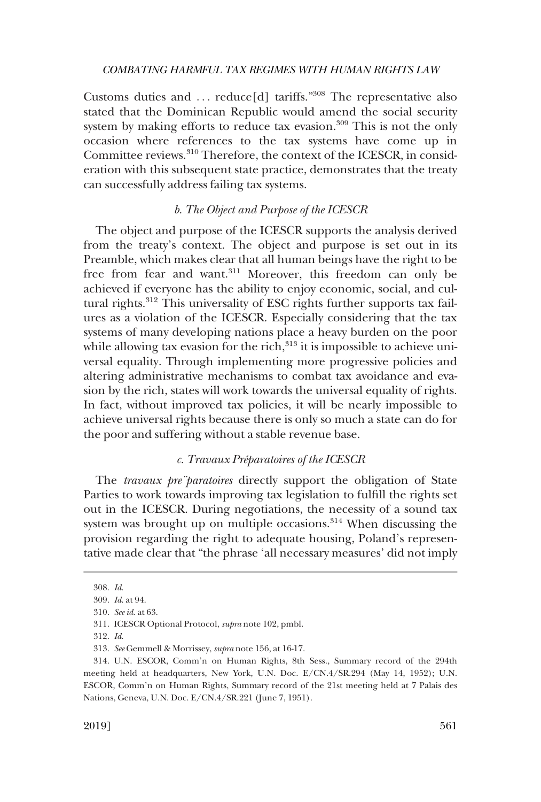<span id="page-44-0"></span>Customs duties and  $\ldots$  reduce[d] tariffs."<sup>308</sup> The representative also stated that the Dominican Republic would amend the social security system by making efforts to reduce tax evasion.<sup>309</sup> This is not the only occasion where references to the tax systems have come up in Committee reviews.<sup>310</sup> Therefore, the context of the ICESCR, in consideration with this subsequent state practice, demonstrates that the treaty can successfully address failing tax systems.

# *b. The Object and Purpose of the ICESCR*

The object and purpose of the ICESCR supports the analysis derived from the treaty's context. The object and purpose is set out in its Preamble, which makes clear that all human beings have the right to be free from fear and want.<sup>311</sup> Moreover, this freedom can only be achieved if everyone has the ability to enjoy economic, social, and cultural rights.<sup>312</sup> This universality of ESC rights further supports tax failures as a violation of the ICESCR. Especially considering that the tax systems of many developing nations place a heavy burden on the poor while allowing tax evasion for the rich, $313$  it is impossible to achieve universal equality. Through implementing more progressive policies and altering administrative mechanisms to combat tax avoidance and evasion by the rich, states will work towards the universal equality of rights. In fact, without improved tax policies, it will be nearly impossible to achieve universal rights because there is only so much a state can do for the poor and suffering without a stable revenue base.

# *c. Travaux Pre´paratoires of the ICESCR*

The *travaux pre¨paratoires* directly support the obligation of State Parties to work towards improving tax legislation to fulfill the rights set out in the ICESCR. During negotiations, the necessity of a sound tax system was brought up on multiple occasions.<sup>314</sup> When discussing the provision regarding the right to adequate housing, Poland's representative made clear that "the phrase 'all necessary measures' did not imply

<sup>308.</sup> *Id*.

<sup>309.</sup> *Id*. at 94.

<sup>310.</sup> *See id*. at 63.

<sup>311.</sup> ICESCR Optional Protocol, *supra* note 102, pmbl.

<sup>312.</sup> *Id*.

<sup>313.</sup> *See* Gemmell & Morrissey, *supra* note 156, at 16-17.

<sup>314.</sup> U.N. ESCOR, Comm'n on Human Rights, 8th Sess., Summary record of the 294th meeting held at headquarters, New York, U.N. Doc. E/CN.4/SR.294 (May 14, 1952); U.N. ESCOR, Comm'n on Human Rights, Summary record of the 21st meeting held at 7 Palais des Nations, Geneva, U.N. Doc. E/CN.4/SR.221 (June 7, 1951).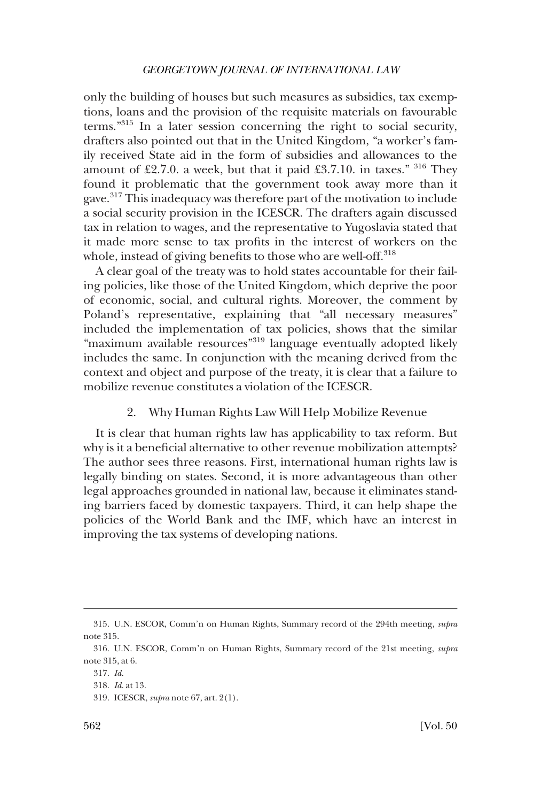<span id="page-45-0"></span>only the building of houses but such measures as subsidies, tax exemptions, loans and the provision of the requisite materials on favourable terms."315 In a later session concerning the right to social security, drafters also pointed out that in the United Kingdom, "a worker's family received State aid in the form of subsidies and allowances to the amount of £2.7.0. a week, but that it paid £3.7.10. in taxes."  $316$  They found it problematic that the government took away more than it gave.317 This inadequacy was therefore part of the motivation to include a social security provision in the ICESCR. The drafters again discussed tax in relation to wages, and the representative to Yugoslavia stated that it made more sense to tax profits in the interest of workers on the whole, instead of giving benefits to those who are well-off.<sup>318</sup>

A clear goal of the treaty was to hold states accountable for their failing policies, like those of the United Kingdom, which deprive the poor of economic, social, and cultural rights. Moreover, the comment by Poland's representative, explaining that "all necessary measures" included the implementation of tax policies, shows that the similar "maximum available resources"319 language eventually adopted likely includes the same. In conjunction with the meaning derived from the context and object and purpose of the treaty, it is clear that a failure to mobilize revenue constitutes a violation of the ICESCR.

### 2. Why Human Rights Law Will Help Mobilize Revenue

It is clear that human rights law has applicability to tax reform. But why is it a beneficial alternative to other revenue mobilization attempts? The author sees three reasons. First, international human rights law is legally binding on states. Second, it is more advantageous than other legal approaches grounded in national law, because it eliminates standing barriers faced by domestic taxpayers. Third, it can help shape the policies of the World Bank and the IMF, which have an interest in improving the tax systems of developing nations.

<sup>315.</sup> U.N. ESCOR, Comm'n on Human Rights, Summary record of the 294th meeting, *supra*  note 315.

<sup>316.</sup> U.N. ESCOR, Comm'n on Human Rights, Summary record of the 21st meeting, *supra*  note 315, at 6.

<sup>317.</sup> *Id*.

<sup>318.</sup> *Id*. at 13.

<sup>319.</sup> ICESCR, *supra* note 67, art. 2(1).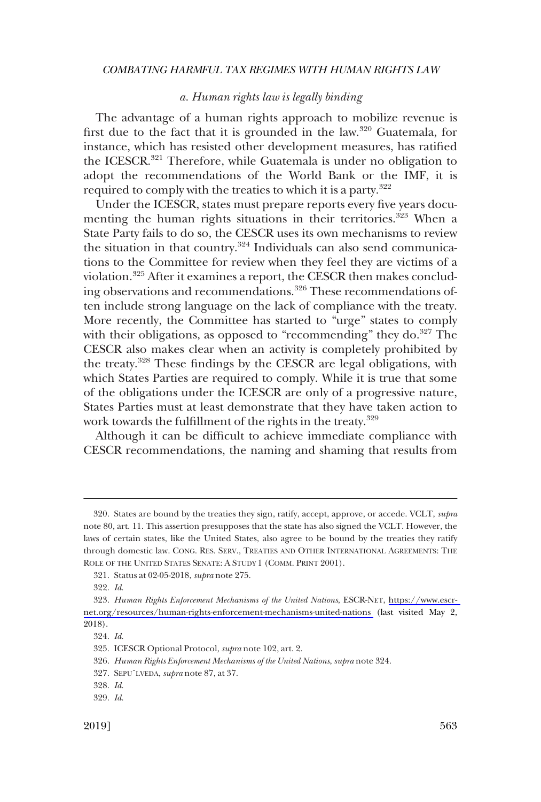# *a. Human rights law is legally binding*

<span id="page-46-0"></span>The advantage of a human rights approach to mobilize revenue is first due to the fact that it is grounded in the law.320 Guatemala, for instance, which has resisted other development measures, has ratified the ICESCR.<sup>321</sup> Therefore, while Guatemala is under no obligation to adopt the recommendations of the World Bank or the IMF, it is required to comply with the treaties to which it is a party.<sup>322</sup>

Under the ICESCR, states must prepare reports every five years documenting the human rights situations in their territories.<sup>323</sup> When a State Party fails to do so, the CESCR uses its own mechanisms to review the situation in that country. $324$  Individuals can also send communications to the Committee for review when they feel they are victims of a violation.325 After it examines a report, the CESCR then makes concluding observations and recommendations.<sup>326</sup> These recommendations often include strong language on the lack of compliance with the treaty. More recently, the Committee has started to "urge" states to comply with their obligations, as opposed to "recommending" they do. $327$  The CESCR also makes clear when an activity is completely prohibited by the treaty.328 These findings by the CESCR are legal obligations, with which States Parties are required to comply. While it is true that some of the obligations under the ICESCR are only of a progressive nature, States Parties must at least demonstrate that they have taken action to work towards the fulfillment of the rights in the treaty.<sup>329</sup>

Although it can be difficult to achieve immediate compliance with CESCR recommendations, the naming and shaming that results from

<sup>320.</sup> States are bound by the treaties they sign, ratify, accept, approve, or accede. VCLT, *supra*  note 80, art. 11. This assertion presupposes that the state has also signed the VCLT. However, the laws of certain states, like the United States, also agree to be bound by the treaties they ratify through domestic law. CONG. RES. SERV., TREATIES AND OTHER INTERNATIONAL AGREEMENTS: THE ROLE OF THE UNITED STATES SENATE: A STUDY 1 (COMM. PRINT 2001).

<sup>321.</sup> Status at 02-05-2018, *supra* note 275.

<sup>322.</sup> *Id*.

*Human Rights Enforcement Mechanisms of the United Nations*, ESCR-NET, [https://www.escr-](https://www.escr-net.org/resources/human-rights-enforcement-mechanisms-united-nations)323. [net.org/resources/human-rights-enforcement-mechanisms-united-nations](https://www.escr-net.org/resources/human-rights-enforcement-mechanisms-united-nations) (last visited May 2, 2018).

<sup>324.</sup> *Id*.

<sup>325.</sup> ICESCR Optional Protocol, *supra* note 102, art. 2.

<sup>326.</sup> *Human Rights Enforcement Mechanisms of the United Nations*, *supra* note 324.

<sup>327.</sup> SEPU¨LVEDA, *supra* note 87, at 37.

<sup>328.</sup> *Id*.

<sup>329.</sup> *Id*.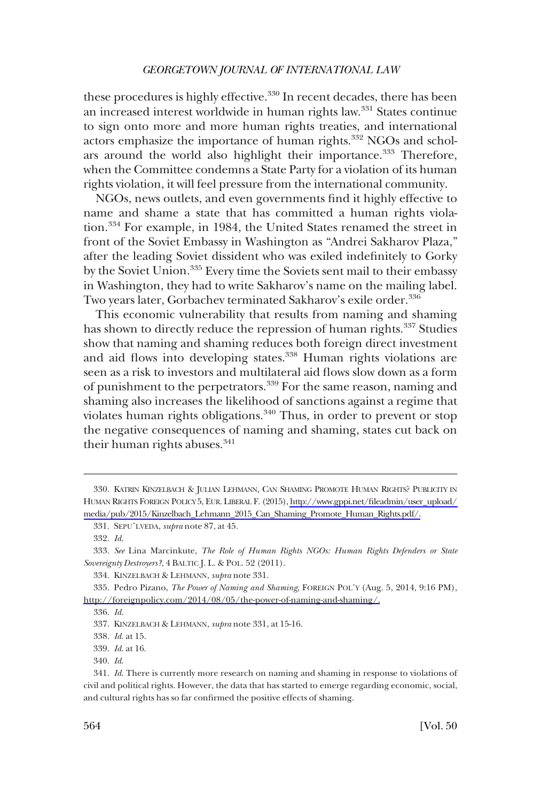these procedures is highly effective.<sup>330</sup> In recent decades, there has been an increased interest worldwide in human rights law.<sup>331</sup> States continue to sign onto more and more human rights treaties, and international actors emphasize the importance of human rights.<sup>332</sup> NGOs and scholars around the world also highlight their importance.<sup>333</sup> Therefore, when the Committee condemns a State Party for a violation of its human rights violation, it will feel pressure from the international community.

NGOs, news outlets, and even governments find it highly effective to name and shame a state that has committed a human rights violation.334 For example, in 1984, the United States renamed the street in front of the Soviet Embassy in Washington as "Andrei Sakharov Plaza," after the leading Soviet dissident who was exiled indefinitely to Gorky by the Soviet Union.<sup>335</sup> Every time the Soviets sent mail to their embassy in Washington, they had to write Sakharov's name on the mailing label. Two years later, Gorbachev terminated Sakharov's exile order.<sup>336</sup>

This economic vulnerability that results from naming and shaming has shown to directly reduce the repression of human rights.<sup>337</sup> Studies show that naming and shaming reduces both foreign direct investment and aid flows into developing states.<sup>338</sup> Human rights violations are seen as a risk to investors and multilateral aid flows slow down as a form of punishment to the perpetrators.<sup>339</sup> For the same reason, naming and shaming also increases the likelihood of sanctions against a regime that violates human rights obligations.<sup>340</sup> Thus, in order to prevent or stop the negative consequences of naming and shaming, states cut back on their human rights abuses.<sup>341</sup>

<sup>330.</sup> KATRIN KINZELBACH & JULIAN LEHMANN, CAN SHAMING PROMOTE HUMAN RIGHTS? PUBLICITY IN HUMAN RIGHTS FOREIGN POLICY 5, EUR. LIBERAL F. (2015), [http://www.gppi.net/fileadmin/user\\_upload/](http://www.gppi.net/fileadmin/user_upload/media/pub/2015/Kinzelbach_Lehmann_2015_Can_Shaming_Promote_Human_Rights.pdf/)  [media/pub/2015/Kinzelbach\\_Lehmann\\_2015\\_Can\\_Shaming\\_Promote\\_Human\\_Rights.pdf/.](http://www.gppi.net/fileadmin/user_upload/media/pub/2015/Kinzelbach_Lehmann_2015_Can_Shaming_Promote_Human_Rights.pdf/)

<sup>331.</sup> SEPU¨LVEDA, *supra* note 87, at 45.

<sup>332.</sup> *Id*.

<sup>333.</sup> *See* Lina Marcinkute, *The Role of Human Rights NGOs: Human Rights Defenders or State Sovereignty Destroyers?*, 4 BALTIC J. L. & POL. 52 (2011).

<sup>334.</sup> KINZELBACH & LEHMANN, *supra* note 331.

<sup>335.</sup> Pedro Pizano, *The Power of Naming and Shaming*, FOREIGN POL'Y (Aug. 5, 2014, 9:16 PM), [http://foreignpolicy.com/2014/08/05/the-power-of-naming-and-shaming/.](http://foreignpolicy.com/2014/08/05/the-power-of-naming-and-shaming/)

<sup>336.</sup> *Id*.

<sup>337.</sup> KINZELBACH & LEHMANN, *supra* note 331, at 15-16.

<sup>338.</sup> *Id*. at 15.

<sup>339.</sup> *Id*. at 16.

<sup>340.</sup> *Id*.

<sup>341.</sup> *Id*. There is currently more research on naming and shaming in response to violations of civil and political rights. However, the data that has started to emerge regarding economic, social, and cultural rights has so far confirmed the positive effects of shaming.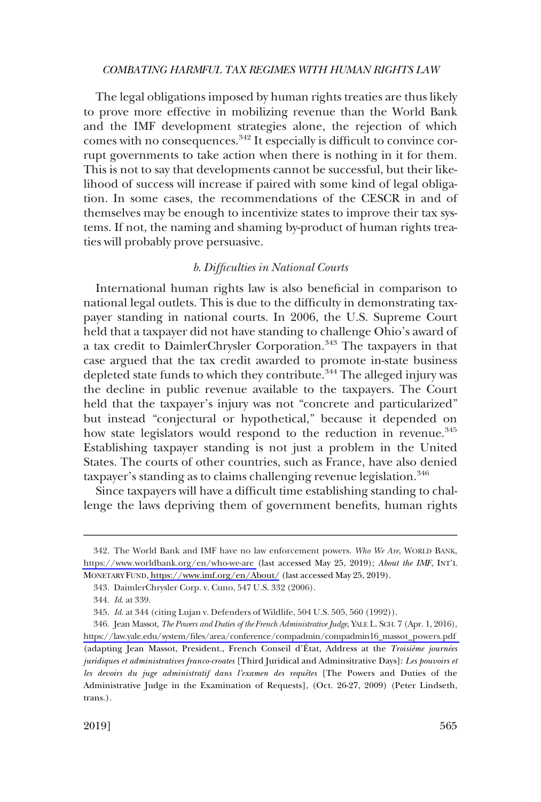<span id="page-48-0"></span>The legal obligations imposed by human rights treaties are thus likely to prove more effective in mobilizing revenue than the World Bank and the IMF development strategies alone, the rejection of which comes with no consequences.<sup>342</sup> It especially is difficult to convince corrupt governments to take action when there is nothing in it for them. This is not to say that developments cannot be successful, but their likelihood of success will increase if paired with some kind of legal obligation. In some cases, the recommendations of the CESCR in and of themselves may be enough to incentivize states to improve their tax systems. If not, the naming and shaming by-product of human rights treaties will probably prove persuasive.

# *b. Difficulties in National Courts*

International human rights law is also beneficial in comparison to national legal outlets. This is due to the difficulty in demonstrating taxpayer standing in national courts. In 2006, the U.S. Supreme Court held that a taxpayer did not have standing to challenge Ohio's award of a tax credit to DaimlerChrysler Corporation.<sup>343</sup> The taxpayers in that case argued that the tax credit awarded to promote in-state business depleted state funds to which they contribute.<sup>344</sup> The alleged injury was the decline in public revenue available to the taxpayers. The Court held that the taxpayer's injury was not "concrete and particularized" but instead "conjectural or hypothetical," because it depended on how state legislators would respond to the reduction in revenue.<sup>345</sup> Establishing taxpayer standing is not just a problem in the United States. The courts of other countries, such as France, have also denied taxpayer's standing as to claims challenging revenue legislation.<sup>346</sup>

Since taxpayers will have a difficult time establishing standing to challenge the laws depriving them of government benefits, human rights

<sup>342.</sup> The World Bank and IMF have no law enforcement powers. Who We Are, WORLD BANK, <https://www.worldbank.org/en/who-we-are>(last accessed May 25, 2019); *About the IMF*, INT'L MONETARY FUND,<https://www.imf.org/en/About/> (last accessed May 25, 2019).

<sup>343.</sup> DaimlerChrysler Corp. v. Cuno, 547 U.S. 332 (2006).

<sup>344.</sup> *Id*. at 339.

<sup>345.</sup> *Id*. at 344 (citing Lujan v. Defenders of Wildlife, 504 U.S. 505, 560 (1992)).

<sup>346.</sup> Jean Massot, *The Powers and Duties of the French Administrative Judge*, YALE L. SCH. 7 (Apr. 1, 2016), [https://law.yale.edu/system/files/area/conference/compadmin/compadmin16\\_massot\\_powers.pdf](https://law.yale.edu/system/files/area/conference/compadmin/compadmin16_massot_powers.pdf)  (adapting Jean Massot, President., French Conseil d'État, Address at the *Troisième journées juridiques et administratives franco-croates* [Third Juridical and Adminsitrative Days]: *Les pouvoirs et*  les devoirs du juge administratif dans l'examen des requêtes [The Powers and Duties of the Administrative Judge in the Examination of Requests], (Oct. 26-27, 2009) (Peter Lindseth, trans.).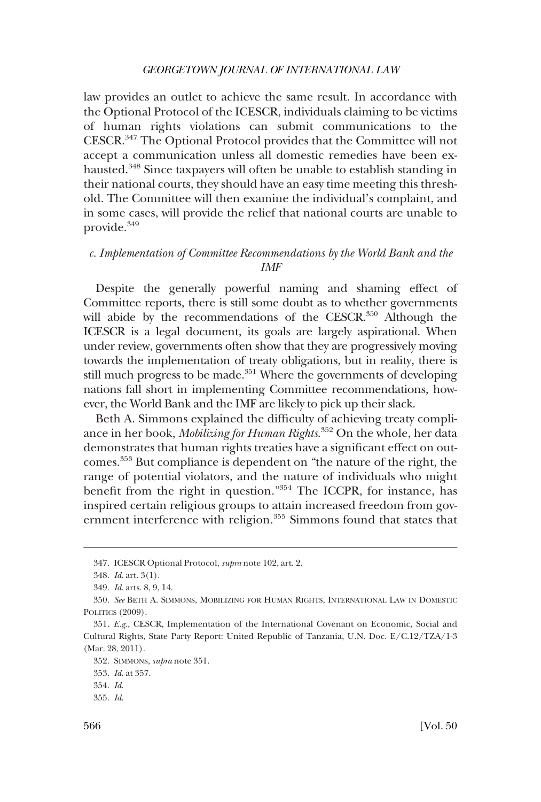<span id="page-49-0"></span>law provides an outlet to achieve the same result. In accordance with the Optional Protocol of the ICESCR, individuals claiming to be victims of human rights violations can submit communications to the CESCR.347 The Optional Protocol provides that the Committee will not accept a communication unless all domestic remedies have been exhausted.<sup>348</sup> Since taxpayers will often be unable to establish standing in their national courts, they should have an easy time meeting this threshold. The Committee will then examine the individual's complaint, and in some cases, will provide the relief that national courts are unable to provide.349

# *c. Implementation of Committee Recommendations by the World Bank and the IMF*

Despite the generally powerful naming and shaming effect of Committee reports, there is still some doubt as to whether governments will abide by the recommendations of the CESCR.<sup>350</sup> Although the ICESCR is a legal document, its goals are largely aspirational. When under review, governments often show that they are progressively moving towards the implementation of treaty obligations, but in reality, there is still much progress to be made.<sup>351</sup> Where the governments of developing nations fall short in implementing Committee recommendations, however, the World Bank and the IMF are likely to pick up their slack.

Beth A. Simmons explained the difficulty of achieving treaty compliance in her book, *Mobilizing for Human Rights*. 352 On the whole, her data demonstrates that human rights treaties have a significant effect on outcomes.353 But compliance is dependent on "the nature of the right, the range of potential violators, and the nature of individuals who might benefit from the right in question."354 The ICCPR, for instance, has inspired certain religious groups to attain increased freedom from government interference with religion.<sup>355</sup> Simmons found that states that

<sup>347.</sup> ICESCR Optional Protocol, *supra* note 102, art. 2.

<sup>348.</sup> *Id*. art. 3(1).

<sup>349.</sup> *Id*. arts. 8, 9, 14.

<sup>350.</sup> *See* BETH A. SIMMONS, MOBILIZING FOR HUMAN RIGHTS, INTERNATIONAL LAW IN DOMESTIC POLITICS (2009).

<sup>351.</sup> *E.g*., CESCR, Implementation of the International Covenant on Economic, Social and Cultural Rights, State Party Report: United Republic of Tanzania, U.N. Doc. E/C.12/TZA/1-3 (Mar. 28, 2011).

<sup>352.</sup> SIMMONS, *supra* note 351.

<sup>353.</sup> *Id*. at 357.

<sup>354.</sup> *Id*.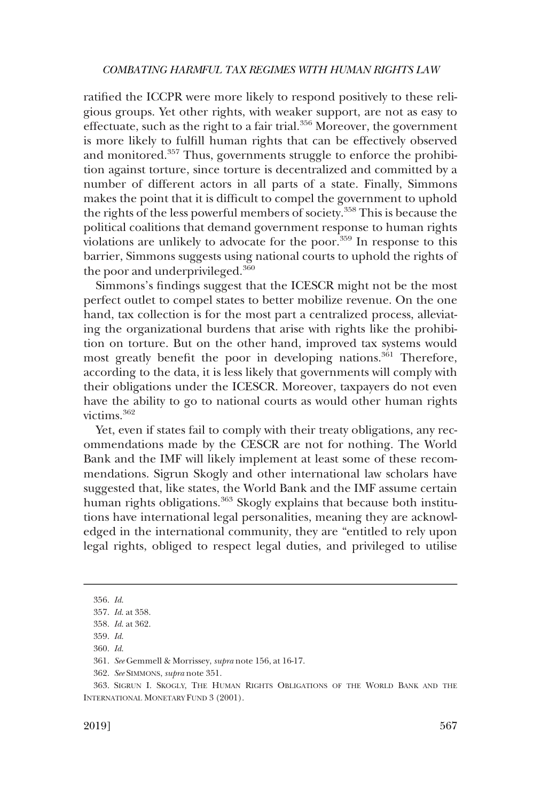ratified the ICCPR were more likely to respond positively to these religious groups. Yet other rights, with weaker support, are not as easy to effectuate, such as the right to a fair trial.<sup>356</sup> Moreover, the government is more likely to fulfill human rights that can be effectively observed and monitored.357 Thus, governments struggle to enforce the prohibition against torture, since torture is decentralized and committed by a number of different actors in all parts of a state. Finally, Simmons makes the point that it is difficult to compel the government to uphold the rights of the less powerful members of society.358 This is because the political coalitions that demand government response to human rights violations are unlikely to advocate for the poor.<sup>359</sup> In response to this barrier, Simmons suggests using national courts to uphold the rights of the poor and underprivileged.<sup>360</sup>

Simmons's findings suggest that the ICESCR might not be the most perfect outlet to compel states to better mobilize revenue. On the one hand, tax collection is for the most part a centralized process, alleviating the organizational burdens that arise with rights like the prohibition on torture. But on the other hand, improved tax systems would most greatly benefit the poor in developing nations.<sup>361</sup> Therefore, according to the data, it is less likely that governments will comply with their obligations under the ICESCR. Moreover, taxpayers do not even have the ability to go to national courts as would other human rights victims.362

Yet, even if states fail to comply with their treaty obligations, any recommendations made by the CESCR are not for nothing. The World Bank and the IMF will likely implement at least some of these recommendations. Sigrun Skogly and other international law scholars have suggested that, like states, the World Bank and the IMF assume certain human rights obligations.<sup>363</sup> Skogly explains that because both institutions have international legal personalities, meaning they are acknowledged in the international community, they are "entitled to rely upon legal rights, obliged to respect legal duties, and privileged to utilise

<sup>356.</sup> *Id*.

<sup>357.</sup> *Id*. at 358.

<sup>358.</sup> *Id*. at 362.

<sup>359.</sup> *Id*.

<sup>360.</sup> *Id*.

<sup>361.</sup> *See* Gemmell & Morrissey, *supra* note 156, at 16-17.

<sup>362.</sup> *See* SIMMONS, *supra* note 351.

<sup>363.</sup> SIGRUN I. SKOGLY, THE HUMAN RIGHTS OBLIGATIONS OF THE WORLD BANK AND THE INTERNATIONAL MONETARY FUND 3 (2001).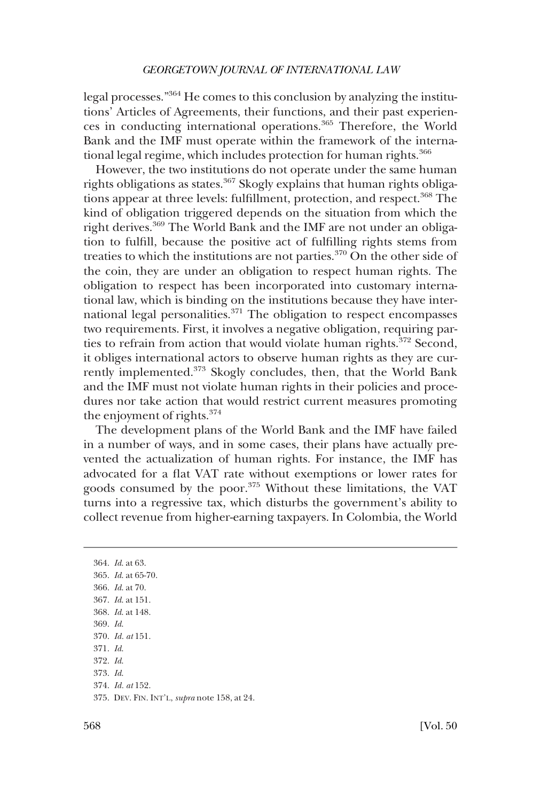legal processes."364 He comes to this conclusion by analyzing the institutions' Articles of Agreements, their functions, and their past experiences in conducting international operations.365 Therefore, the World Bank and the IMF must operate within the framework of the international legal regime, which includes protection for human rights.<sup>366</sup>

However, the two institutions do not operate under the same human rights obligations as states.<sup>367</sup> Skogly explains that human rights obligations appear at three levels: fulfillment, protection, and respect.<sup>368</sup> The kind of obligation triggered depends on the situation from which the right derives.<sup>369</sup> The World Bank and the IMF are not under an obligation to fulfill, because the positive act of fulfilling rights stems from treaties to which the institutions are not parties.370 On the other side of the coin, they are under an obligation to respect human rights. The obligation to respect has been incorporated into customary international law, which is binding on the institutions because they have international legal personalities.<sup>371</sup> The obligation to respect encompasses two requirements. First, it involves a negative obligation, requiring parties to refrain from action that would violate human rights.<sup>372</sup> Second, it obliges international actors to observe human rights as they are currently implemented.<sup>373</sup> Skogly concludes, then, that the World Bank and the IMF must not violate human rights in their policies and procedures nor take action that would restrict current measures promoting the enjoyment of rights.<sup>374</sup>

The development plans of the World Bank and the IMF have failed in a number of ways, and in some cases, their plans have actually prevented the actualization of human rights. For instance, the IMF has advocated for a flat VAT rate without exemptions or lower rates for goods consumed by the poor.375 Without these limitations, the VAT turns into a regressive tax, which disturbs the government's ability to collect revenue from higher-earning taxpayers. In Colombia, the World

364. *Id*. at 63. 365. *Id*. at 65-70. 366. *Id*. at 70. 367. *Id*. at 151. 368. *Id*. at 148. 369. *Id*. 370. *Id. at* 151. 371. *Id*. 372. *Id*. 373. *Id*. 374. *Id. at* 152. 375. DEV. FIN. INT'L, *supra* note 158, at 24.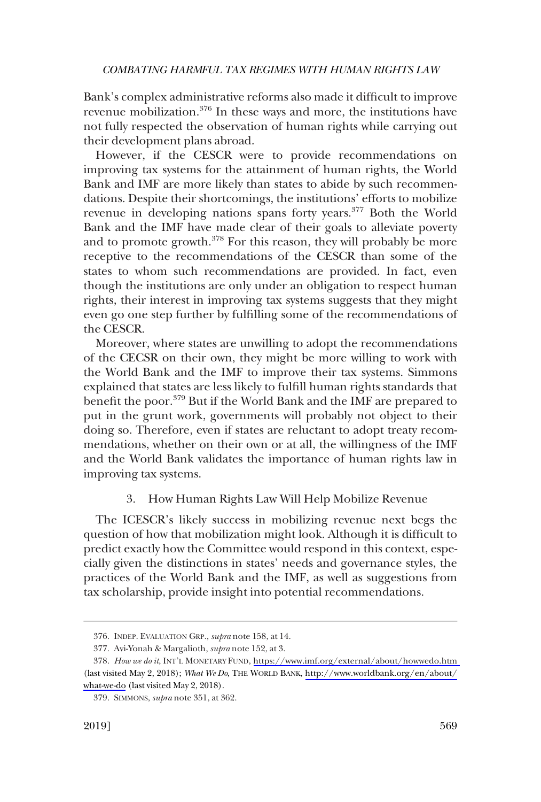<span id="page-52-0"></span>Bank's complex administrative reforms also made it difficult to improve revenue mobilization.376 In these ways and more, the institutions have not fully respected the observation of human rights while carrying out their development plans abroad.

However, if the CESCR were to provide recommendations on improving tax systems for the attainment of human rights, the World Bank and IMF are more likely than states to abide by such recommendations. Despite their shortcomings, the institutions' efforts to mobilize revenue in developing nations spans forty years.<sup>377</sup> Both the World Bank and the IMF have made clear of their goals to alleviate poverty and to promote growth.<sup>378</sup> For this reason, they will probably be more receptive to the recommendations of the CESCR than some of the states to whom such recommendations are provided. In fact, even though the institutions are only under an obligation to respect human rights, their interest in improving tax systems suggests that they might even go one step further by fulfilling some of the recommendations of the CESCR.

Moreover, where states are unwilling to adopt the recommendations of the CECSR on their own, they might be more willing to work with the World Bank and the IMF to improve their tax systems. Simmons explained that states are less likely to fulfill human rights standards that benefit the poor.379 But if the World Bank and the IMF are prepared to put in the grunt work, governments will probably not object to their doing so. Therefore, even if states are reluctant to adopt treaty recommendations, whether on their own or at all, the willingness of the IMF and the World Bank validates the importance of human rights law in improving tax systems.

# 3. How Human Rights Law Will Help Mobilize Revenue

The ICESCR's likely success in mobilizing revenue next begs the question of how that mobilization might look. Although it is difficult to predict exactly how the Committee would respond in this context, especially given the distinctions in states' needs and governance styles, the practices of the World Bank and the IMF, as well as suggestions from tax scholarship, provide insight into potential recommendations.

<sup>376.</sup> INDEP. EVALUATION GRP., *supra* note 158, at 14.

<sup>377.</sup> Avi-Yonah & Margalioth, *supra* note 152, at 3.

*How we do it*, INT'L MONETARY FUND, <https://www.imf.org/external/about/howwedo.htm> 378. (last visited May 2, 2018); *What We Do*, THE WORLD BANK, [http://www.worldbank.org/en/about/](http://www.worldbank.org/en/about/what-we-do)  [what-we-do](http://www.worldbank.org/en/about/what-we-do) (last visited May 2, 2018).

<sup>379.</sup> SIMMONS, *supra* note 351, at 362.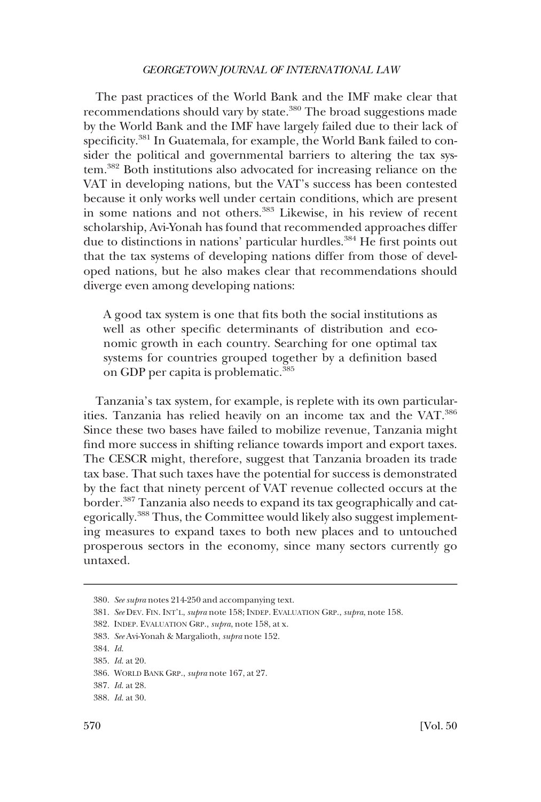The past practices of the World Bank and the IMF make clear that recommendations should vary by state.<sup>380</sup> The broad suggestions made by the World Bank and the IMF have largely failed due to their lack of specificity.<sup>381</sup> In Guatemala, for example, the World Bank failed to consider the political and governmental barriers to altering the tax system.382 Both institutions also advocated for increasing reliance on the VAT in developing nations, but the VAT's success has been contested because it only works well under certain conditions, which are present in some nations and not others.383 Likewise, in his review of recent scholarship, Avi-Yonah has found that recommended approaches differ due to distinctions in nations' particular hurdles.<sup>384</sup> He first points out that the tax systems of developing nations differ from those of developed nations, but he also makes clear that recommendations should diverge even among developing nations:

A good tax system is one that fits both the social institutions as well as other specific determinants of distribution and economic growth in each country. Searching for one optimal tax systems for countries grouped together by a definition based on GDP per capita is problematic.<sup>385</sup>

Tanzania's tax system, for example, is replete with its own particularities. Tanzania has relied heavily on an income tax and the VAT.<sup>386</sup> Since these two bases have failed to mobilize revenue, Tanzania might find more success in shifting reliance towards import and export taxes. The CESCR might, therefore, suggest that Tanzania broaden its trade tax base. That such taxes have the potential for success is demonstrated by the fact that ninety percent of VAT revenue collected occurs at the border.<sup>387</sup> Tanzania also needs to expand its tax geographically and categorically.388 Thus, the Committee would likely also suggest implementing measures to expand taxes to both new places and to untouched prosperous sectors in the economy, since many sectors currently go untaxed.

<sup>380.</sup> *See supra* notes 214-250 and accompanying text.

<sup>381.</sup> *See* DEV. FIN. INT'L, *supra* note 158; INDEP. EVALUATION GRP., *supra*, note 158.

<sup>382.</sup> INDEP. EVALUATION GRP., *supra*, note 158, at x.

<sup>383.</sup> *See* Avi-Yonah & Margalioth, *supra* note 152.

<sup>384.</sup> *Id*.

<sup>385.</sup> *Id*. at 20.

<sup>386.</sup> WORLD BANK GRP., *supra* note 167, at 27.

<sup>387.</sup> *Id*. at 28.

<sup>388.</sup> *Id*. at 30.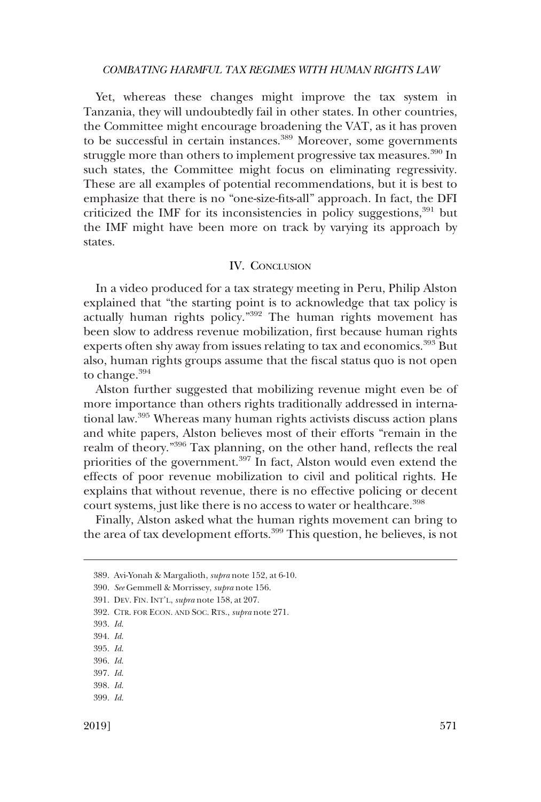<span id="page-54-0"></span>Yet, whereas these changes might improve the tax system in Tanzania, they will undoubtedly fail in other states. In other countries, the Committee might encourage broadening the VAT, as it has proven to be successful in certain instances.<sup>389</sup> Moreover, some governments struggle more than others to implement progressive tax measures.<sup>390</sup> In such states, the Committee might focus on eliminating regressivity. These are all examples of potential recommendations, but it is best to emphasize that there is no "one-size-fits-all" approach. In fact, the DFI criticized the IMF for its inconsistencies in policy suggestions, $391$  but the IMF might have been more on track by varying its approach by states.

# IV. CONCLUSION

In a video produced for a tax strategy meeting in Peru, Philip Alston explained that "the starting point is to acknowledge that tax policy is actually human rights policy."392 The human rights movement has been slow to address revenue mobilization, first because human rights experts often shy away from issues relating to tax and economics.<sup>393</sup> But also, human rights groups assume that the fiscal status quo is not open to change.<sup>394</sup>

Alston further suggested that mobilizing revenue might even be of more importance than others rights traditionally addressed in international law.395 Whereas many human rights activists discuss action plans and white papers, Alston believes most of their efforts "remain in the realm of theory."396 Tax planning, on the other hand, reflects the real priorities of the government.<sup>397</sup> In fact, Alston would even extend the effects of poor revenue mobilization to civil and political rights. He explains that without revenue, there is no effective policing or decent court systems, just like there is no access to water or healthcare.<sup>398</sup>

Finally, Alston asked what the human rights movement can bring to the area of tax development efforts.<sup>399</sup> This question, he believes, is not

<sup>389.</sup> Avi-Yonah & Margalioth, *supra* note 152, at 6-10.

<sup>390.</sup> *See* Gemmell & Morrissey, *supra* note 156.

<sup>391.</sup> DEV. FIN. INT'L, *supra* note 158, at 207.

<sup>392.</sup> CTR. FOR ECON. AND SOC. RTS., *supra* note 271.

<sup>393.</sup> *Id*.

<sup>394.</sup> *Id*.

<sup>395.</sup> *Id*.

<sup>396.</sup> *Id*.

<sup>397.</sup> *Id*.

<sup>399.</sup> *Id*.